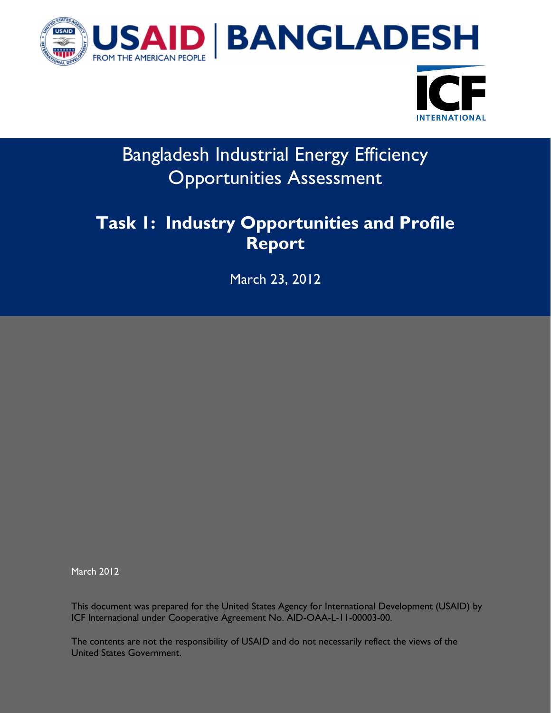



# Bangladesh Industrial Energy Efficiency Opportunities Assessment

# **Task 1: Industry Opportunities and Profile Report**

March 23, 2012

March 2012

This document was prepared for the United States Agency for International Development (USAID) by ICF International under Cooperative Agreement No. AID-OAA-L-11-00003-00.

The contents are not the responsibility of USAID and do not necessarily reflect the views of the United States Government.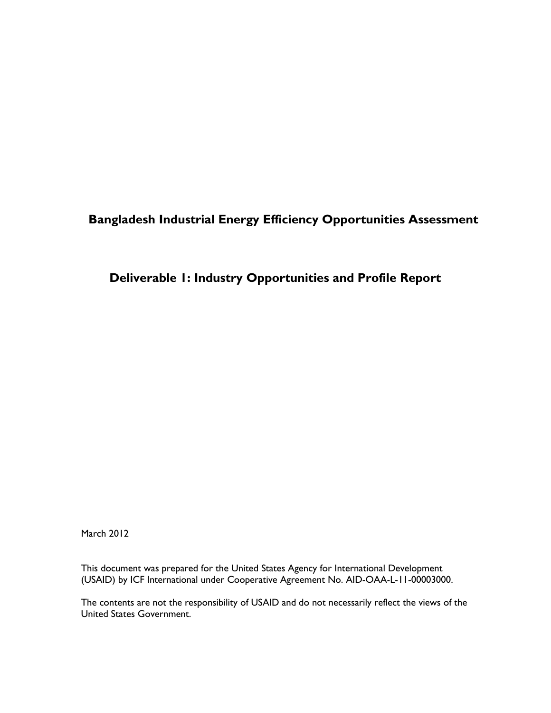### **Bangladesh Industrial Energy Efficiency Opportunities Assessment**

#### **Deliverable 1: Industry Opportunities and Profile Report**

March 2012

This document was prepared for the United States Agency for International Development (USAID) by ICF International under Cooperative Agreement No. AID-OAA-L-11-00003000.

The contents are not the responsibility of USAID and do not necessarily reflect the views of the United States Government.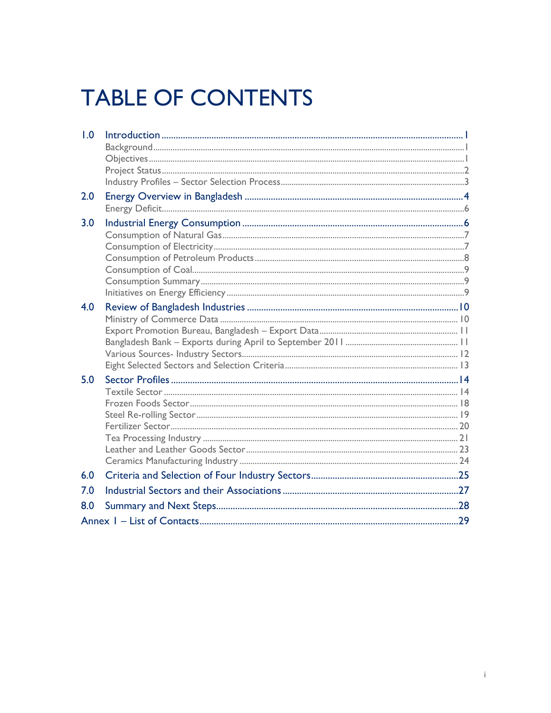# **TABLE OF CONTENTS**

| 1.0 |  |
|-----|--|
|     |  |
|     |  |
|     |  |
| 2.0 |  |
|     |  |
| 3.0 |  |
|     |  |
|     |  |
|     |  |
|     |  |
|     |  |
|     |  |
| 4.0 |  |
|     |  |
|     |  |
|     |  |
|     |  |
|     |  |
| 5.0 |  |
|     |  |
|     |  |
|     |  |
|     |  |
|     |  |
|     |  |
|     |  |
| 6.0 |  |
| 7.0 |  |
| 8.0 |  |
|     |  |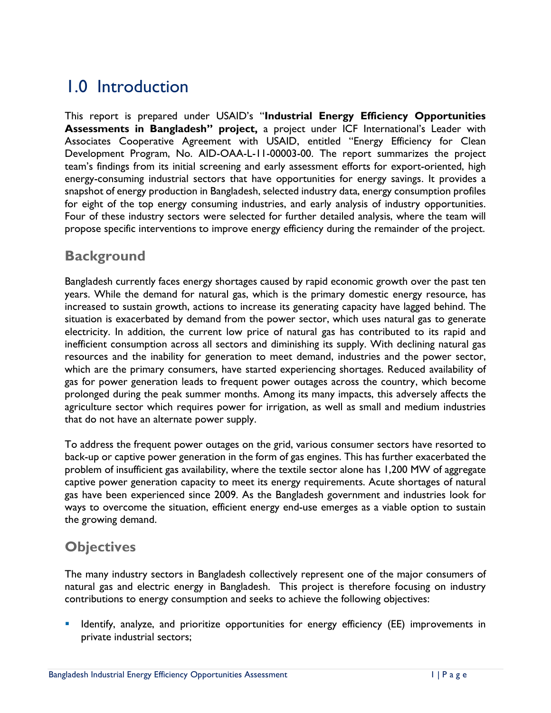# <span id="page-3-0"></span>1.0 Introduction

This report is prepared under USAID's "**Industrial Energy Efficiency Opportunities Assessments in Bangladesh" project,** a project under ICF International's Leader with Associates Cooperative Agreement with USAID, entitled "Energy Efficiency for Clean Development Program, No. AID-OAA-L-11-00003-00. The report summarizes the project team's findings from its initial screening and early assessment efforts for export-oriented, high energy-consuming industrial sectors that have opportunities for energy savings. It provides a snapshot of energy production in Bangladesh, selected industry data, energy consumption profiles for eight of the top energy consuming industries, and early analysis of industry opportunities. Four of these industry sectors were selected for further detailed analysis, where the team will propose specific interventions to improve energy efficiency during the remainder of the project.

### <span id="page-3-1"></span>**Background**

Bangladesh currently faces energy shortages caused by rapid economic growth over the past ten years. While the demand for natural gas, which is the primary domestic energy resource, has increased to sustain growth, actions to increase its generating capacity have lagged behind. The situation is exacerbated by demand from the power sector, which uses natural gas to generate electricity. In addition, the current low price of natural gas has contributed to its rapid and inefficient consumption across all sectors and diminishing its supply. With declining natural gas resources and the inability for generation to meet demand, industries and the power sector, which are the primary consumers, have started experiencing shortages. Reduced availability of gas for power generation leads to frequent power outages across the country, which become prolonged during the peak summer months. Among its many impacts, this adversely affects the agriculture sector which requires power for irrigation, as well as small and medium industries that do not have an alternate power supply.

To address the frequent power outages on the grid, various consumer sectors have resorted to back-up or captive power generation in the form of gas engines. This has further exacerbated the problem of insufficient gas availability, where the textile sector alone has 1,200 MW of aggregate captive power generation capacity to meet its energy requirements. Acute shortages of natural gas have been experienced since 2009. As the Bangladesh government and industries look for ways to overcome the situation, efficient energy end-use emerges as a viable option to sustain the growing demand.

### <span id="page-3-2"></span>**Objectives**

The many industry sectors in Bangladesh collectively represent one of the major consumers of natural gas and electric energy in Bangladesh. This project is therefore focusing on industry contributions to energy consumption and seeks to achieve the following objectives:

 Identify, analyze, and prioritize opportunities for energy efficiency (EE) improvements in private industrial sectors;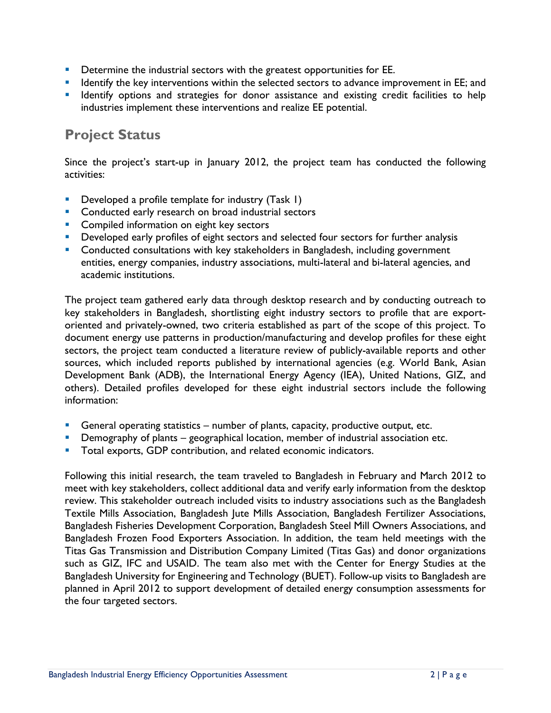- **•** Determine the industrial sectors with the greatest opportunities for EE.
- **If the key interventions within the selected sectors to advance improvement in EE; and If the set is the set in the set in the set is and if the set is and if the set is and if the set is and if the set is and if the set**
- **If Identify options and strategies for donor assistance and existing credit facilities to help** industries implement these interventions and realize EE potential.

### <span id="page-4-0"></span>**Project Status**

Since the project's start-up in January 2012, the project team has conducted the following activities:

- Developed a profile template for industry (Task 1)
- **Conducted early research on broad industrial sectors**
- **Compiled information on eight key sectors**
- **Developed early profiles of eight sectors and selected four sectors for further analysis**
- **Conducted consultations with key stakeholders in Bangladesh, including government** entities, energy companies, industry associations, multi-lateral and bi-lateral agencies, and academic institutions.

The project team gathered early data through desktop research and by conducting outreach to key stakeholders in Bangladesh, shortlisting eight industry sectors to profile that are exportoriented and privately-owned, two criteria established as part of the scope of this project. To document energy use patterns in production/manufacturing and develop profiles for these eight sectors, the project team conducted a literature review of publicly-available reports and other sources, which included reports published by international agencies (e.g. World Bank, Asian Development Bank (ADB), the International Energy Agency (IEA), United Nations, GIZ, and others). Detailed profiles developed for these eight industrial sectors include the following information:

- General operating statistics number of plants, capacity, productive output, etc.
- Demography of plants geographical location, member of industrial association etc.
- Total exports, GDP contribution, and related economic indicators.

Following this initial research, the team traveled to Bangladesh in February and March 2012 to meet with key stakeholders, collect additional data and verify early information from the desktop review. This stakeholder outreach included visits to industry associations such as the Bangladesh Textile Mills Association, Bangladesh Jute Mills Association, Bangladesh Fertilizer Associations, Bangladesh Fisheries Development Corporation, Bangladesh Steel Mill Owners Associations, and Bangladesh Frozen Food Exporters Association. In addition, the team held meetings with the Titas Gas Transmission and Distribution Company Limited (Titas Gas) and donor organizations such as GIZ, IFC and USAID. The team also met with the Center for Energy Studies at the Bangladesh University for Engineering and Technology (BUET). Follow-up visits to Bangladesh are planned in April 2012 to support development of detailed energy consumption assessments for the four targeted sectors.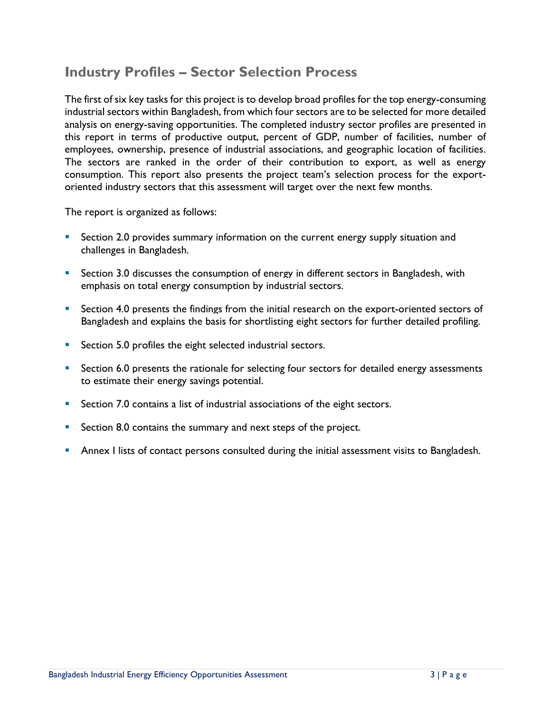### <span id="page-5-0"></span>**Industry Profiles – Sector Selection Process**

The first of six key tasks for this project is to develop broad profiles for the top energy-consuming industrial sectors within Bangladesh, from which four sectors are to be selected for more detailed analysis on energy-saving opportunities. The completed industry sector profiles are presented in this report in terms of productive output, percent of GDP, number of facilities, number of employees, ownership, presence of industrial associations, and geographic location of facilities. The sectors are ranked in the order of their contribution to export, as well as energy consumption. This report also presents the project team's selection process for the exportoriented industry sectors that this assessment will target over the next few months.

The report is organized as follows:

- Section 2.0 provides summary information on the current energy supply situation and challenges in Bangladesh.
- **Section 3.0 discusses the consumption of energy in different sectors in Bangladesh, with** emphasis on total energy consumption by industrial sectors.
- Section 4.0 presents the findings from the initial research on the export-oriented sectors of Bangladesh and explains the basis for shortlisting eight sectors for further detailed profiling.
- **Section 5.0 profiles the eight selected industrial sectors.**
- Section 6.0 presents the rationale for selecting four sectors for detailed energy assessments to estimate their energy savings potential.
- Section 7.0 contains a list of industrial associations of the eight sectors.
- Section 8.0 contains the summary and next steps of the project.
- Annex I lists of contact persons consulted during the initial assessment visits to Bangladesh.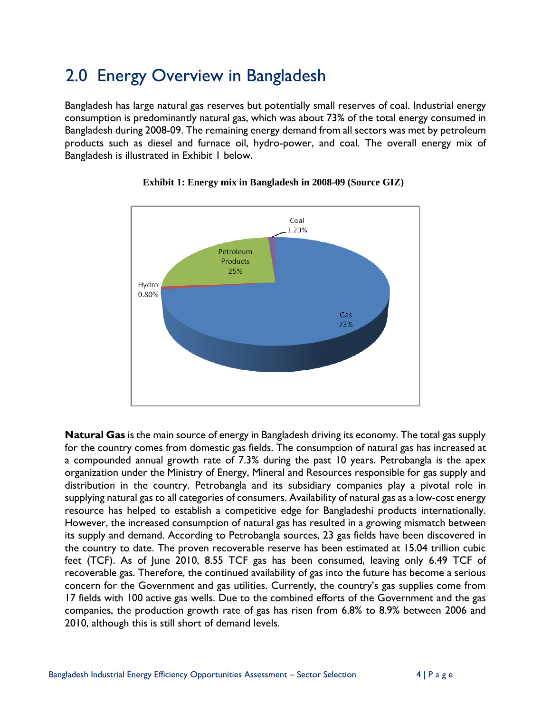# <span id="page-6-0"></span>2.0 Energy Overview in Bangladesh

Bangladesh has large natural gas reserves but potentially small reserves of coal. Industrial energy consumption is predominantly natural gas, which was about 73% of the total energy consumed in Bangladesh during 2008-09. The remaining energy demand from all sectors was met by petroleum products such as diesel and furnace oil, hydro-power, and coal. The overall energy mix of Bangladesh is illustrated in Exhibit 1 below.



#### **Exhibit 1: Energy mix in Bangladesh in 2008-09 (Source GIZ)**

**Natural Gas** is the main source of energy in Bangladesh driving its economy. The total gas supply for the country comes from domestic gas fields. The consumption of natural gas has increased at a compounded annual growth rate of 7.3% during the past 10 years. Petrobangla is the apex organization under the Ministry of Energy, Mineral and Resources responsible for gas supply and distribution in the country. Petrobangla and its subsidiary companies play a pivotal role in supplying natural gas to all categories of consumers. Availability of natural gas as a low-cost energy resource has helped to establish a competitive edge for Bangladeshi products internationally. However, the increased consumption of natural gas has resulted in a growing mismatch between its supply and demand. According to Petrobangla sources, 23 gas fields have been discovered in the country to date. The proven recoverable reserve has been estimated at 15.04 trillion cubic feet (TCF). As of June 2010, 8.55 TCF gas has been consumed, leaving only 6.49 TCF of recoverable gas. Therefore, the continued availability of gas into the future has become a serious concern for the Government and gas utilities. Currently, the country's gas supplies come from 17 fields with 100 active gas wells. Due to the combined efforts of the Government and the gas companies, the production growth rate of gas has risen from 6.8% to 8.9% between 2006 and 2010, although this is still short of demand levels.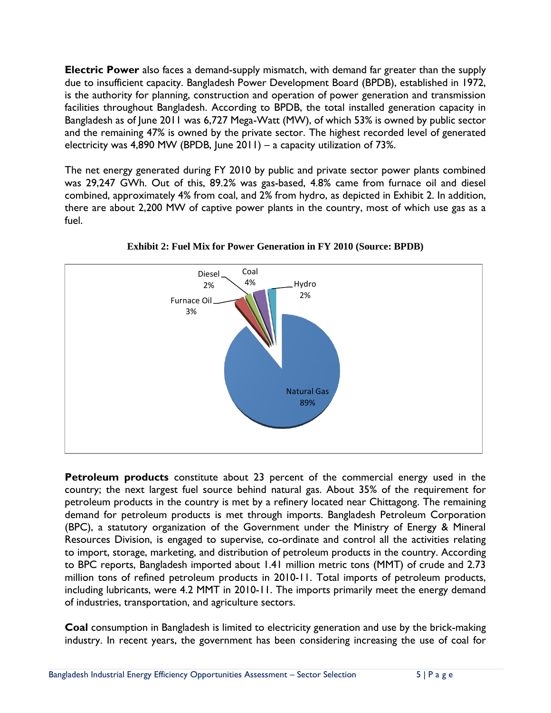**Electric Power** also faces a demand-supply mismatch, with demand far greater than the supply due to insufficient capacity. Bangladesh Power Development Board (BPDB), established in 1972, is the authority for planning, construction and operation of power generation and transmission facilities throughout Bangladesh. According to BPDB, the total installed generation capacity in Bangladesh as of June 2011 was 6,727 Mega-Watt (MW), of which 53% is owned by public sector and the remaining 47% is owned by the private sector. The highest recorded level of generated electricity was 4,890 MW (BPDB, June 2011) – a capacity utilization of 73%.

The net energy generated during FY 2010 by public and private sector power plants combined was 29,247 GWh. Out of this, 89.2% was gas-based, 4.8% came from furnace oil and diesel combined, approximately 4% from coal, and 2% from hydro, as depicted in Exhibit 2. In addition, there are about 2,200 MW of captive power plants in the country, most of which use gas as a fuel.



**Exhibit 2: Fuel Mix for Power Generation in FY 2010 (Source: BPDB)**

**Petroleum products** constitute about 23 percent of the commercial energy used in the country; the next largest fuel source behind natural gas. About 35% of the requirement for petroleum products in the country is met by a refinery located near Chittagong. The remaining demand for petroleum products is met through imports. Bangladesh Petroleum Corporation (BPC), a statutory organization of the Government under the Ministry of Energy & Mineral Resources Division, is engaged to supervise, co-ordinate and control all the activities relating to import, storage, marketing, and distribution of petroleum products in the country. According to BPC reports, Bangladesh imported about 1.41 million metric tons (MMT) of crude and 2.73 million tons of refined petroleum products in 2010-11. Total imports of petroleum products, including lubricants, were 4.2 MMT in 2010-11. The imports primarily meet the energy demand of industries, transportation, and agriculture sectors.

**Coal** consumption in Bangladesh is limited to electricity generation and use by the brick-making industry. In recent years, the government has been considering increasing the use of coal for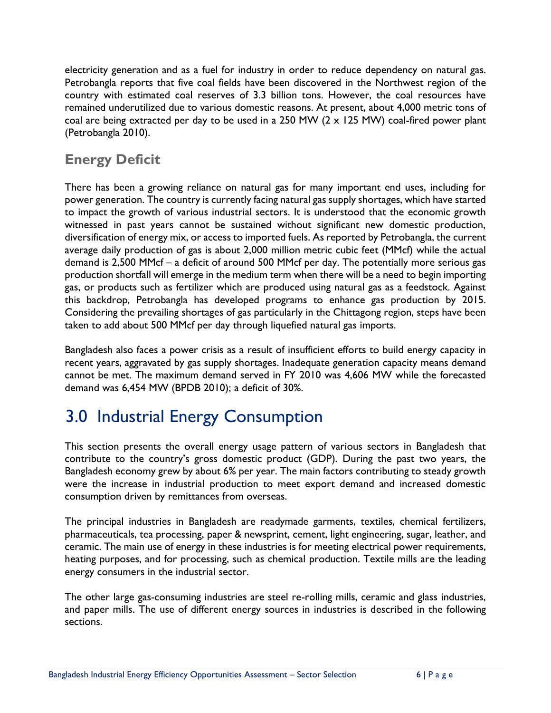electricity generation and as a fuel for industry in order to reduce dependency on natural gas. Petrobangla reports that five coal fields have been discovered in the Northwest region of the country with estimated coal reserves of 3.3 billion tons. However, the coal resources have remained underutilized due to various domestic reasons. At present, about 4,000 metric tons of coal are being extracted per day to be used in a 250 MW  $(2 \times 125 \text{ MW})$  coal-fired power plant (Petrobangla 2010).

### <span id="page-8-0"></span>**Energy Deficit**

There has been a growing reliance on natural gas for many important end uses, including for power generation. The country is currently facing natural gas supply shortages, which have started to impact the growth of various industrial sectors. It is understood that the economic growth witnessed in past years cannot be sustained without significant new domestic production, diversification of energy mix, or access to imported fuels. As reported by Petrobangla, the current average daily production of gas is about 2,000 million metric cubic feet (MMcf) while the actual demand is 2,500 MMcf – a deficit of around 500 MMcf per day. The potentially more serious gas production shortfall will emerge in the medium term when there will be a need to begin importing gas, or products such as fertilizer which are produced using natural gas as a feedstock. Against this backdrop, Petrobangla has developed programs to enhance gas production by 2015. Considering the prevailing shortages of gas particularly in the Chittagong region, steps have been taken to add about 500 MMcf per day through liquefied natural gas imports.

Bangladesh also faces a power crisis as a result of insufficient efforts to build energy capacity in recent years, aggravated by gas supply shortages. Inadequate generation capacity means demand cannot be met. The maximum demand served in FY 2010 was 4,606 MW while the forecasted demand was 6,454 MW (BPDB 2010); a deficit of 30%.

# <span id="page-8-1"></span>3.0 Industrial Energy Consumption

This section presents the overall energy usage pattern of various sectors in Bangladesh that contribute to the country's gross domestic product (GDP). During the past two years, the Bangladesh economy grew by about 6% per year. The main factors contributing to steady growth were the increase in industrial production to meet export demand and increased domestic consumption driven by remittances from overseas.

The principal industries in Bangladesh are readymade garments, textiles, chemical fertilizers, pharmaceuticals, tea processing, paper & newsprint, cement, light engineering, sugar, leather, and ceramic. The main use of energy in these industries is for meeting electrical power requirements, heating purposes, and for processing, such as chemical production. Textile mills are the leading energy consumers in the industrial sector.

The other large gas-consuming industries are steel re-rolling mills, ceramic and glass industries, and paper mills. The use of different energy sources in industries is described in the following sections.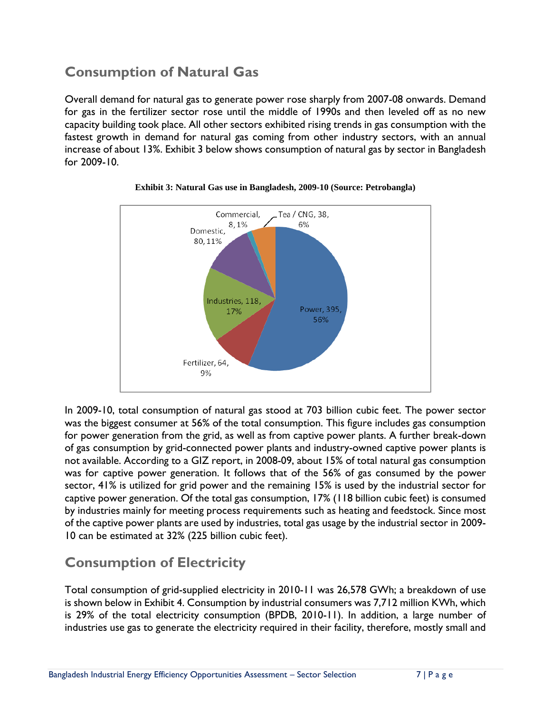### <span id="page-9-0"></span>**Consumption of Natural Gas**

Overall demand for natural gas to generate power rose sharply from 2007-08 onwards. Demand for gas in the fertilizer sector rose until the middle of 1990s and then leveled off as no new capacity building took place. All other sectors exhibited rising trends in gas consumption with the fastest growth in demand for natural gas coming from other industry sectors, with an annual increase of about 13%. Exhibit 3 below shows consumption of natural gas by sector in Bangladesh for 2009-10.



#### **Exhibit 3: Natural Gas use in Bangladesh, 2009-10 (Source: Petrobangla)**

In 2009-10, total consumption of natural gas stood at 703 billion cubic feet. The power sector was the biggest consumer at 56% of the total consumption. This figure includes gas consumption for power generation from the grid, as well as from captive power plants. A further break-down of gas consumption by grid-connected power plants and industry-owned captive power plants is not available. According to a GIZ report, in 2008-09, about 15% of total natural gas consumption was for captive power generation. It follows that of the 56% of gas consumed by the power sector, 41% is utilized for grid power and the remaining 15% is used by the industrial sector for captive power generation. Of the total gas consumption, 17% (118 billion cubic feet) is consumed by industries mainly for meeting process requirements such as heating and feedstock. Since most of the captive power plants are used by industries, total gas usage by the industrial sector in 2009- 10 can be estimated at 32% (225 billion cubic feet).

### <span id="page-9-1"></span>**Consumption of Electricity**

Total consumption of grid-supplied electricity in 2010-11 was 26,578 GWh; a breakdown of use is shown below in Exhibit 4. Consumption by industrial consumers was 7,712 million KWh, which is 29% of the total electricity consumption (BPDB, 2010-11). In addition, a large number of industries use gas to generate the electricity required in their facility, therefore, mostly small and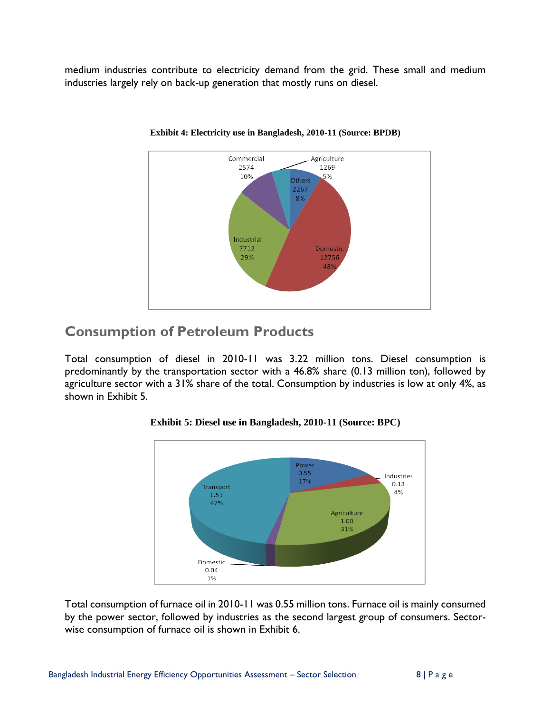medium industries contribute to electricity demand from the grid. These small and medium industries largely rely on back-up generation that mostly runs on diesel.



#### **Exhibit 4: Electricity use in Bangladesh, 2010-11 (Source: BPDB)**

### <span id="page-10-0"></span>**Consumption of Petroleum Products**

Total consumption of diesel in 2010-11 was 3.22 million tons. Diesel consumption is predominantly by the transportation sector with a 46.8% share (0.13 million ton), followed by agriculture sector with a 31% share of the total. Consumption by industries is low at only 4%, as shown in Exhibit 5.



#### **Exhibit 5: Diesel use in Bangladesh, 2010-11 (Source: BPC)**

Total consumption of furnace oil in 2010-11 was 0.55 million tons. Furnace oil is mainly consumed by the power sector, followed by industries as the second largest group of consumers. Sectorwise consumption of furnace oil is shown in Exhibit 6.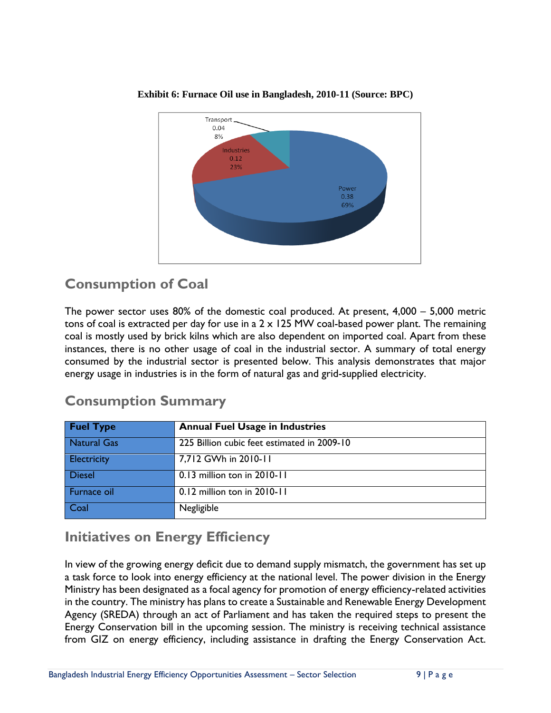

**Exhibit 6: Furnace Oil use in Bangladesh, 2010-11 (Source: BPC)**

### <span id="page-11-0"></span>**Consumption of Coal**

The power sector uses 80% of the domestic coal produced. At present, 4,000 – 5,000 metric tons of coal is extracted per day for use in a  $2 \times 125$  MW coal-based power plant. The remaining coal is mostly used by brick kilns which are also dependent on imported coal. Apart from these instances, there is no other usage of coal in the industrial sector. A summary of total energy consumed by the industrial sector is presented below. This analysis demonstrates that major energy usage in industries is in the form of natural gas and grid-supplied electricity.

| <b>Fuel Type</b>   | <b>Annual Fuel Usage in Industries</b>      |
|--------------------|---------------------------------------------|
| <b>Natural Gas</b> | 225 Billion cubic feet estimated in 2009-10 |
| Electricity        | 7,712 GWh in 2010-11                        |
| <b>Diesel</b>      | 0.13 million ton in 2010-11                 |
| Furnace oil        | 0.12 million ton in 2010-11                 |
| Coal               | Negligible                                  |

### <span id="page-11-1"></span>**Consumption Summary**

### <span id="page-11-2"></span>**Initiatives on Energy Efficiency**

In view of the growing energy deficit due to demand supply mismatch, the government has set up a task force to look into energy efficiency at the national level. The power division in the Energy Ministry has been designated as a focal agency for promotion of energy efficiency-related activities in the country. The ministry has plans to create a Sustainable and Renewable Energy Development Agency (SREDA) through an act of Parliament and has taken the required steps to present the Energy Conservation bill in the upcoming session. The ministry is receiving technical assistance from GIZ on energy efficiency, including assistance in drafting the Energy Conservation Act.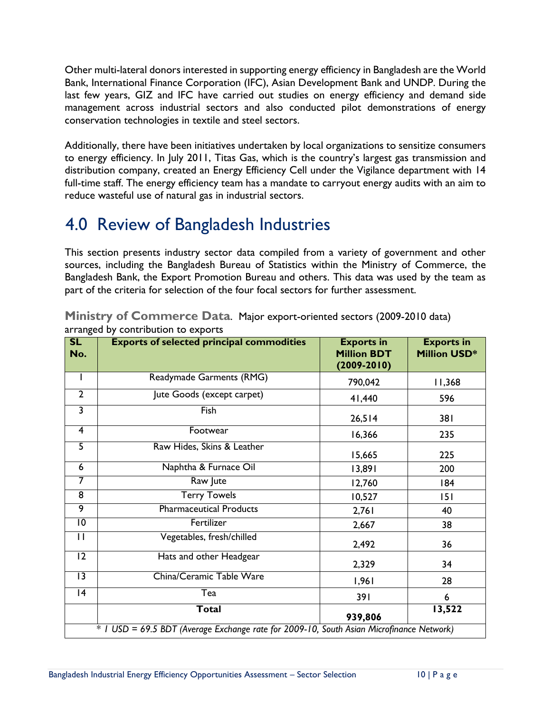Other multi-lateral donors interested in supporting energy efficiency in Bangladesh are the World Bank, International Finance Corporation (IFC), Asian Development Bank and UNDP. During the last few years, GIZ and IFC have carried out studies on energy efficiency and demand side management across industrial sectors and also conducted pilot demonstrations of energy conservation technologies in textile and steel sectors.

Additionally, there have been initiatives undertaken by local organizations to sensitize consumers to energy efficiency. In July 2011, Titas Gas, which is the country's largest gas transmission and distribution company, created an Energy Efficiency Cell under the Vigilance department with 14 full-time staff. The energy efficiency team has a mandate to carryout energy audits with an aim to reduce wasteful use of natural gas in industrial sectors.

# <span id="page-12-0"></span>4.0 Review of Bangladesh Industries

This section presents industry sector data compiled from a variety of government and other sources, including the Bangladesh Bureau of Statistics within the Ministry of Commerce, the Bangladesh Bank, the Export Promotion Bureau and others. This data was used by the team as part of the criteria for selection of the four focal sectors for further assessment.

| SL<br>No.               | <b>Exports of selected principal commodities</b>                                         | <b>Exports in</b><br><b>Million BDT</b><br>$(2009 - 2010)$ | <b>Exports in</b><br><b>Million USD*</b> |
|-------------------------|------------------------------------------------------------------------------------------|------------------------------------------------------------|------------------------------------------|
| J.                      | Readymade Garments (RMG)                                                                 | 790,042                                                    | 11,368                                   |
| $\overline{2}$          | Jute Goods (except carpet)                                                               | 41,440                                                     | 596                                      |
| $\overline{\mathbf{3}}$ | Fish                                                                                     | 26,514                                                     | 381                                      |
| $\overline{4}$          | Footwear                                                                                 | 16,366                                                     | 235                                      |
| $\overline{5}$          | Raw Hides, Skins & Leather                                                               | 15,665                                                     | 225                                      |
| $\overline{6}$          | Naphtha & Furnace Oil                                                                    | 13,891                                                     | 200                                      |
| $\overline{7}$          | Raw Jute                                                                                 | 12,760                                                     | 184                                      |
| $\overline{8}$          | <b>Terry Towels</b>                                                                      | 10,527                                                     | 151                                      |
| $\overline{9}$          | <b>Pharmaceutical Products</b>                                                           | 2,761                                                      | 40                                       |
| $\overline{10}$         | Fertilizer                                                                               | 2,667                                                      | 38                                       |
| $\overline{11}$         | Vegetables, fresh/chilled                                                                | 2,492                                                      | 36                                       |
| $\overline{12}$         | Hats and other Headgear                                                                  | 2,329                                                      | 34                                       |
| $\overline{13}$         | China/Ceramic Table Ware                                                                 | 1,961                                                      | 28                                       |
| 4                       | Tea                                                                                      | 391                                                        | 6                                        |
|                         | <b>Total</b>                                                                             | 939,806                                                    | 13,522                                   |
|                         | * I USD = 69.5 BDT (Average Exchange rate for 2009-10, South Asian Microfinance Network) |                                                            |                                          |

<span id="page-12-1"></span>**Ministry of Commerce Data**. Major export-oriented sectors (2009-2010 data) arranged by contribution to exports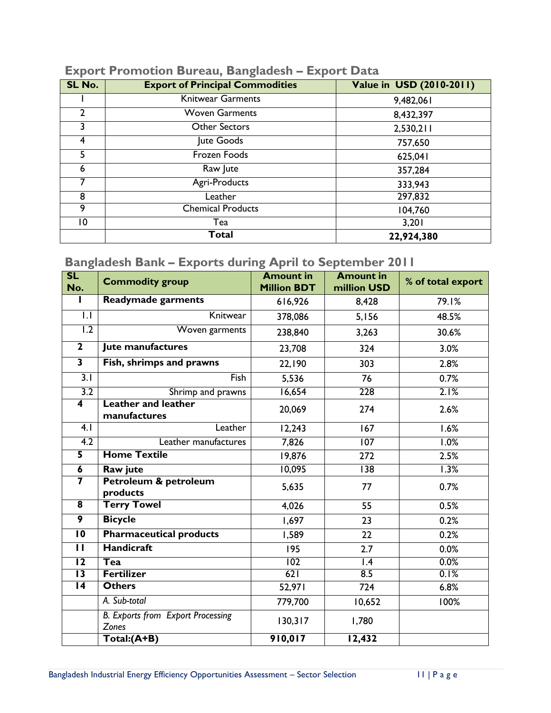| SL No. | <b>Export of Principal Commodities</b> | Value in USD (2010-2011) |
|--------|----------------------------------------|--------------------------|
|        | <b>Knitwear Garments</b>               | 9,482,061                |
| 2      | <b>Woven Garments</b>                  | 8,432,397                |
| 3.     | <b>Other Sectors</b>                   | 2,530,211                |
| 4      | Jute Goods                             | 757,650                  |
| 5.     | Frozen Foods                           | 625,041                  |
| 6      | Raw Jute                               | 357,284                  |
|        | Agri-Products                          | 333,943                  |
| 8      | Leather                                | 297,832                  |
| 9      | <b>Chemical Products</b>               | 104,760                  |
| 10     | Tea                                    | 3,201                    |
|        | Total                                  | 22,924,380               |

### <span id="page-13-0"></span>**Export Promotion Bureau, Bangladesh – Export Data**

### <span id="page-13-1"></span>**Bangladesh Bank – Exports during April to September 2011**

| SL<br>No.               | <b>Commodity group</b>                            | <b>Amount in</b><br><b>Million BDT</b> | <b>Amount in</b><br>million USD | % of total export |
|-------------------------|---------------------------------------------------|----------------------------------------|---------------------------------|-------------------|
|                         | <b>Readymade garments</b>                         | 616,926                                | 8,428                           | 79.1%             |
| 1.1                     | Knitwear                                          | 378,086                                | 5,156                           | 48.5%             |
| $\overline{1.2}$        | Woven garments                                    | 238,840                                | 3,263                           | 30.6%             |
| $\overline{2}$          | Jute manufactures                                 | 23,708                                 | 324                             | 3.0%              |
| $\overline{\mathbf{3}}$ | Fish, shrimps and prawns                          | 22,190                                 | 303                             | 2.8%              |
| $\overline{3.1}$        | Fish                                              | 5,536                                  | 76                              | 0.7%              |
| $\overline{3.2}$        | Shrimp and prawns                                 | 16,654                                 | $\overline{228}$                | 2.1%              |
| $\overline{\mathbf{4}}$ | <b>Leather and leather</b><br>manufactures        | 20,069                                 | 274                             | 2.6%              |
| 4.1                     | Leather                                           | 12,243                                 | 167                             | 1.6%              |
| 4.2                     | Leather manufactures                              | 7,826                                  | 107                             | 1.0%              |
| $\overline{\mathbf{5}}$ | <b>Home Textile</b>                               | 19,876                                 | 272                             | 2.5%              |
| $\overline{\mathbf{6}}$ | Raw jute                                          | 10,095                                 | $\overline{138}$                | 1.3%              |
| 7                       | Petroleum & petroleum<br>products                 | 5,635                                  | 77                              | 0.7%              |
| $\overline{\mathbf{8}}$ | <b>Terry Towel</b>                                | 4,026                                  | 55                              | 0.5%              |
| 9                       | <b>Bicycle</b>                                    | 1,697                                  | 23                              | 0.2%              |
| $\overline{10}$         | <b>Pharmaceutical products</b>                    | 1,589                                  | 22                              | 0.2%              |
| П                       | <b>Handicraft</b>                                 | 195                                    | 2.7                             | 0.0%              |
| $\overline{12}$         | Tea                                               | 102                                    | $\mathsf{I}$ .4                 | 0.0%              |
| $\overline{13}$         | <b>Fertilizer</b>                                 | 621                                    | 8.5                             | 0.1%              |
| $\overline{14}$         | <b>Others</b>                                     | 52,971                                 | 724                             | 6.8%              |
|                         | A. Sub-total                                      | 779,700                                | 10,652                          | 100%              |
|                         | <b>B.</b> Exports from Export Processing<br>Zones | 130,317                                | 1,780                           |                   |
|                         | Total:(A+B)                                       | 910,017                                | 12,432                          |                   |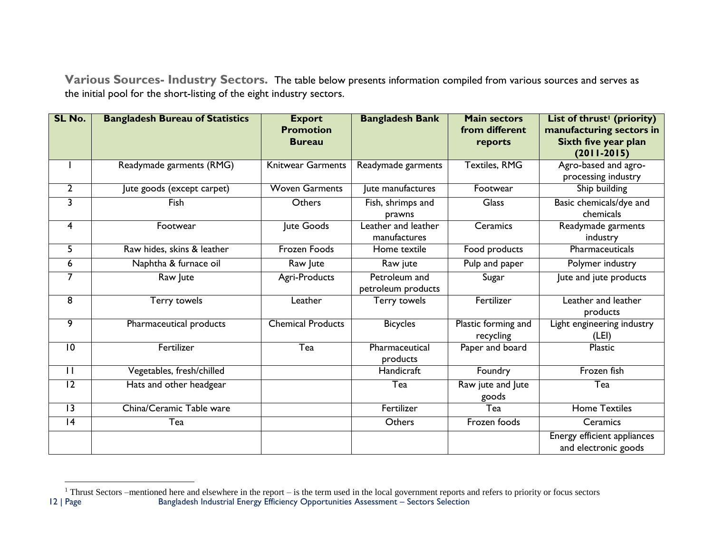**Various Sources- Industry Sectors.** The table below presents information compiled from various sources and serves as the initial pool for the short-listing of the eight industry sectors.

<span id="page-14-0"></span>

| SL No.                  | <b>Bangladesh Bureau of Statistics</b> | <b>Export</b><br><b>Promotion</b><br><b>Bureau</b> | <b>Bangladesh Bank</b>              | <b>Main sectors</b><br>from different<br>reports | List of thrust <sup>1</sup> (priority)<br>manufacturing sectors in<br>Sixth five year plan<br>$(2011 - 2015)$ |
|-------------------------|----------------------------------------|----------------------------------------------------|-------------------------------------|--------------------------------------------------|---------------------------------------------------------------------------------------------------------------|
|                         | Readymade garments (RMG)               | <b>Knitwear Garments</b>                           | Readymade garments                  | <b>Textiles, RMG</b>                             | Agro-based and agro-<br>processing industry                                                                   |
| $\overline{2}$          | Jute goods (except carpet)             | <b>Woven Garments</b>                              | Jute manufactures                   | Footwear                                         | Ship building                                                                                                 |
| 3                       | Fish                                   | Others                                             | Fish, shrimps and<br>prawns         | Glass                                            | Basic chemicals/dye and<br>chemicals                                                                          |
| $\overline{\mathbf{4}}$ | Footwear                               | Jute Goods                                         | Leather and leather<br>manufactures | Ceramics                                         | Readymade garments<br>industry                                                                                |
| 5                       | Raw hides, skins & leather             | Frozen Foods                                       | Home textile                        | Food products                                    | Pharmaceuticals                                                                                               |
| 6                       | Naphtha & furnace oil                  | Raw Jute                                           | Raw jute                            | Pulp and paper                                   | Polymer industry                                                                                              |
| 7                       | Raw Jute                               | Agri-Products                                      | Petroleum and<br>petroleum products | Sugar                                            | Jute and jute products                                                                                        |
| 8                       | Terry towels                           | Leather                                            | Terry towels                        | Fertilizer                                       | Leather and leather<br>products                                                                               |
| 9                       | Pharmaceutical products                | <b>Chemical Products</b>                           | <b>Bicycles</b>                     | Plastic forming and<br>recycling                 | Light engineering industry<br>(LEI)                                                                           |
| $\overline{10}$         | Fertilizer                             | Tea                                                | Pharmaceutical<br>products          | Paper and board                                  | Plastic                                                                                                       |
| $\overline{\mathbf{1}}$ | Vegetables, fresh/chilled              |                                                    | Handicraft                          | Foundry                                          | Frozen fish                                                                                                   |
| 12                      | Hats and other headgear                |                                                    | Tea                                 | Raw jute and Jute<br>goods                       | Tea                                                                                                           |
| $\overline{13}$         | China/Ceramic Table ware               |                                                    | Fertilizer                          | Tea                                              | <b>Home Textiles</b>                                                                                          |
| $\overline{14}$         | Tea                                    |                                                    | Others                              | Frozen foods                                     | Ceramics                                                                                                      |
|                         |                                        |                                                    |                                     |                                                  | <b>Energy efficient appliances</b><br>and electronic goods                                                    |

 $\overline{a}$ 

<sup>12 |</sup> Page Bangladesh Industrial Energy Efficiency Opportunities Assessment – Sectors Selection  $1$  Thrust Sectors –mentioned here and elsewhere in the report – is the term used in the local government reports and refers to priority or focus sectors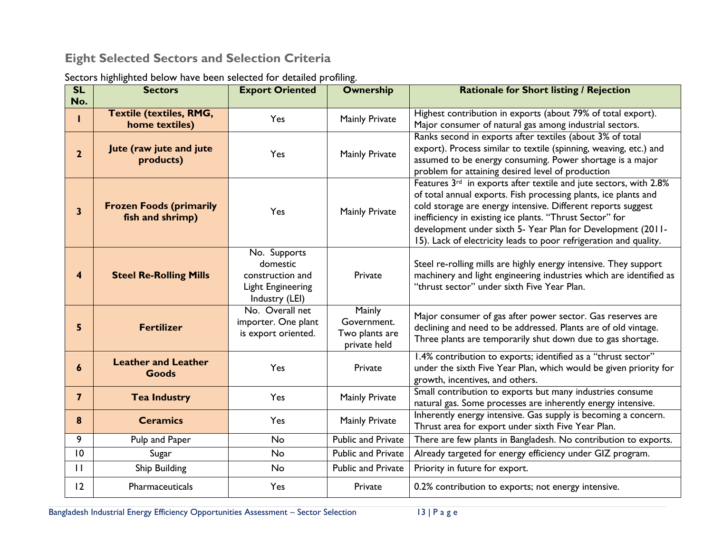### **Eight Selected Sectors and Selection Criteria**

<span id="page-15-0"></span>

| SL<br>No.      | <b>Sectors</b>                                     | <b>Export Oriented</b>                                                                     | <b>Ownership</b>                                               | <b>Rationale for Short listing / Rejection</b>                                                                                                                                                                                                                                                                                                                                                                   |
|----------------|----------------------------------------------------|--------------------------------------------------------------------------------------------|----------------------------------------------------------------|------------------------------------------------------------------------------------------------------------------------------------------------------------------------------------------------------------------------------------------------------------------------------------------------------------------------------------------------------------------------------------------------------------------|
|                | <b>Textile (textiles, RMG,</b><br>home textiles)   | Yes                                                                                        | Mainly Private                                                 | Highest contribution in exports (about 79% of total export).<br>Major consumer of natural gas among industrial sectors.                                                                                                                                                                                                                                                                                          |
| $\overline{2}$ | Jute (raw jute and jute<br>products)               | Yes                                                                                        | Mainly Private                                                 | Ranks second in exports after textiles (about 3% of total<br>export). Process similar to textile (spinning, weaving, etc.) and<br>assumed to be energy consuming. Power shortage is a major<br>problem for attaining desired level of production                                                                                                                                                                 |
| 3              | <b>Frozen Foods (primarily</b><br>fish and shrimp) | Yes                                                                                        | Mainly Private                                                 | Features 3 <sup>rd</sup> in exports after textile and jute sectors, with 2.8%<br>of total annual exports. Fish processing plants, ice plants and<br>cold storage are energy intensive. Different reports suggest<br>inefficiency in existing ice plants. "Thrust Sector" for<br>development under sixth 5- Year Plan for Development (2011-<br>15). Lack of electricity leads to poor refrigeration and quality. |
| 4              | <b>Steel Re-Rolling Mills</b>                      | No. Supports<br>domestic<br>construction and<br><b>Light Engineering</b><br>Industry (LEI) | Private                                                        | Steel re-rolling mills are highly energy intensive. They support<br>machinery and light engineering industries which are identified as<br>"thrust sector" under sixth Five Year Plan.                                                                                                                                                                                                                            |
| 5              | <b>Fertilizer</b>                                  | No. Overall net<br>importer. One plant<br>is export oriented.                              | <b>Mainly</b><br>Government.<br>Two plants are<br>private held | Major consumer of gas after power sector. Gas reserves are<br>declining and need to be addressed. Plants are of old vintage.<br>Three plants are temporarily shut down due to gas shortage.                                                                                                                                                                                                                      |
| 6              | <b>Leather and Leather</b><br><b>Goods</b>         | Yes                                                                                        | Private                                                        | 1.4% contribution to exports; identified as a "thrust sector"<br>under the sixth Five Year Plan, which would be given priority for<br>growth, incentives, and others.                                                                                                                                                                                                                                            |
| $\overline{7}$ | <b>Tea Industry</b>                                | Yes                                                                                        | Mainly Private                                                 | Small contribution to exports but many industries consume<br>natural gas. Some processes are inherently energy intensive.                                                                                                                                                                                                                                                                                        |
| 8              | <b>Ceramics</b>                                    | Yes                                                                                        | Mainly Private                                                 | Inherently energy intensive. Gas supply is becoming a concern.<br>Thrust area for export under sixth Five Year Plan.                                                                                                                                                                                                                                                                                             |
| 9              | Pulp and Paper                                     | No                                                                                         | <b>Public and Private</b>                                      | There are few plants in Bangladesh. No contribution to exports.                                                                                                                                                                                                                                                                                                                                                  |
| 10             | Sugar                                              | <b>No</b>                                                                                  | <b>Public and Private</b>                                      | Already targeted for energy efficiency under GIZ program.                                                                                                                                                                                                                                                                                                                                                        |
| $\mathbf{H}$   | Ship Building                                      | <b>No</b>                                                                                  | <b>Public and Private</b>                                      | Priority in future for export.                                                                                                                                                                                                                                                                                                                                                                                   |
| 12             | Pharmaceuticals                                    | Yes                                                                                        | Private                                                        | 0.2% contribution to exports; not energy intensive.                                                                                                                                                                                                                                                                                                                                                              |

| Sectors highlighted below have been selected for detailed profiling. |  |  |  |  |
|----------------------------------------------------------------------|--|--|--|--|
|                                                                      |  |  |  |  |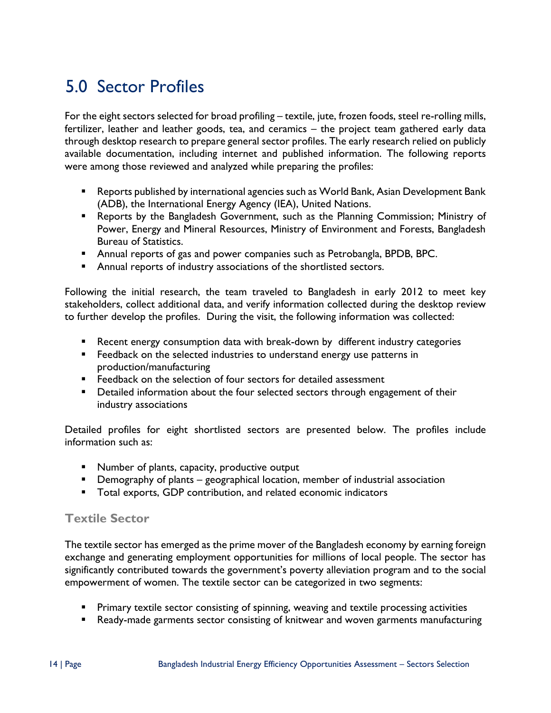# <span id="page-16-0"></span>5.0 Sector Profiles

For the eight sectors selected for broad profiling – textile, jute, frozen foods, steel re-rolling mills, fertilizer, leather and leather goods, tea, and ceramics – the project team gathered early data through desktop research to prepare general sector profiles. The early research relied on publicly available documentation, including internet and published information. The following reports were among those reviewed and analyzed while preparing the profiles:

- Reports published by international agencies such as World Bank, Asian Development Bank (ADB), the International Energy Agency (IEA), United Nations.
- Reports by the Bangladesh Government, such as the Planning Commission; Ministry of Power, Energy and Mineral Resources, Ministry of Environment and Forests, Bangladesh Bureau of Statistics.
- Annual reports of gas and power companies such as Petrobangla, BPDB, BPC.
- **Annual reports of industry associations of the shortlisted sectors.**

Following the initial research, the team traveled to Bangladesh in early 2012 to meet key stakeholders, collect additional data, and verify information collected during the desktop review to further develop the profiles. During the visit, the following information was collected:

- Recent energy consumption data with break-down by different industry categories
- **Feedback on the selected industries to understand energy use patterns in** production/manufacturing
- **Feedback on the selection of four sectors for detailed assessment**
- **Detailed information about the four selected sectors through engagement of their** industry associations

Detailed profiles for eight shortlisted sectors are presented below. The profiles include information such as:

- **Number of plants, capacity, productive output**
- **Demography of plants geographical location, member of industrial association**
- Total exports, GDP contribution, and related economic indicators

#### <span id="page-16-1"></span>**Textile Sector**

The textile sector has emerged as the prime mover of the Bangladesh economy by earning foreign exchange and generating employment opportunities for millions of local people. The sector has significantly contributed towards the government's poverty alleviation program and to the social empowerment of women. The textile sector can be categorized in two segments:

- **Primary textile sector consisting of spinning, weaving and textile processing activities**
- Ready-made garments sector consisting of knitwear and woven garments manufacturing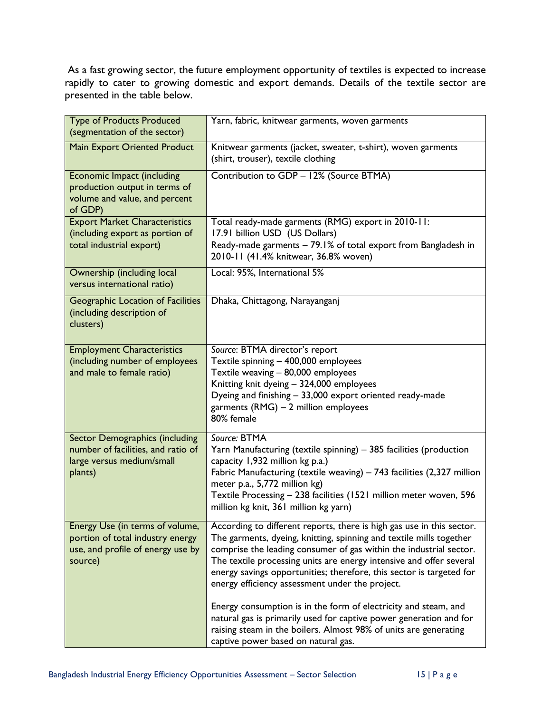As a fast growing sector, the future employment opportunity of textiles is expected to increase rapidly to cater to growing domestic and export demands. Details of the textile sector are presented in the table below.

| <b>Type of Products Produced</b><br>(segmentation of the sector)                                                    | Yarn, fabric, knitwear garments, woven garments                                                                                                                                                                                                                                                                                                                                                                      |
|---------------------------------------------------------------------------------------------------------------------|----------------------------------------------------------------------------------------------------------------------------------------------------------------------------------------------------------------------------------------------------------------------------------------------------------------------------------------------------------------------------------------------------------------------|
| <b>Main Export Oriented Product</b>                                                                                 | Knitwear garments (jacket, sweater, t-shirt), woven garments<br>(shirt, trouser), textile clothing                                                                                                                                                                                                                                                                                                                   |
| Economic Impact (including<br>production output in terms of<br>volume and value, and percent<br>of GDP)             | Contribution to GDP - 12% (Source BTMA)                                                                                                                                                                                                                                                                                                                                                                              |
| <b>Export Market Characteristics</b><br>(including export as portion of<br>total industrial export)                 | Total ready-made garments (RMG) export in 2010-11:<br>17.91 billion USD (US Dollars)<br>Ready-made garments - 79.1% of total export from Bangladesh in<br>2010-11 (41.4% knitwear, 36.8% woven)                                                                                                                                                                                                                      |
| Ownership (including local<br>versus international ratio)                                                           | Local: 95%, International 5%                                                                                                                                                                                                                                                                                                                                                                                         |
| Geographic Location of Facilities<br>(including description of<br>clusters)                                         | Dhaka, Chittagong, Narayanganj                                                                                                                                                                                                                                                                                                                                                                                       |
| <b>Employment Characteristics</b><br>(including number of employees<br>and male to female ratio)                    | Source: BTMA director's report<br>Textile spinning - 400,000 employees<br>Textile weaving - 80,000 employees<br>Knitting knit dyeing - 324,000 employees<br>Dyeing and finishing - 33,000 export oriented ready-made<br>garments (RMG) - 2 million employees<br>80% female                                                                                                                                           |
| <b>Sector Demographics (including</b><br>number of facilities, and ratio of<br>large versus medium/small<br>plants) | Source: BTMA<br>Yarn Manufacturing (textile spinning) - 385 facilities (production<br>capacity 1,932 million kg p.a.)<br>Fabric Manufacturing (textile weaving) - 743 facilities (2,327 million<br>meter p.a., 5,772 million kg)<br>Textile Processing - 238 facilities (1521 million meter woven, 596<br>million kg knit, 361 million kg yarn)                                                                      |
| Energy Use (in terms of volume,<br>portion of total industry energy<br>use, and profile of energy use by<br>source) | According to different reports, there is high gas use in this sector.<br>The garments, dyeing, knitting, spinning and textile mills together<br>comprise the leading consumer of gas within the industrial sector.<br>The textile processing units are energy intensive and offer several<br>energy savings opportunities; therefore, this sector is targeted for<br>energy efficiency assessment under the project. |
|                                                                                                                     | Energy consumption is in the form of electricity and steam, and<br>natural gas is primarily used for captive power generation and for<br>raising steam in the boilers. Almost 98% of units are generating<br>captive power based on natural gas.                                                                                                                                                                     |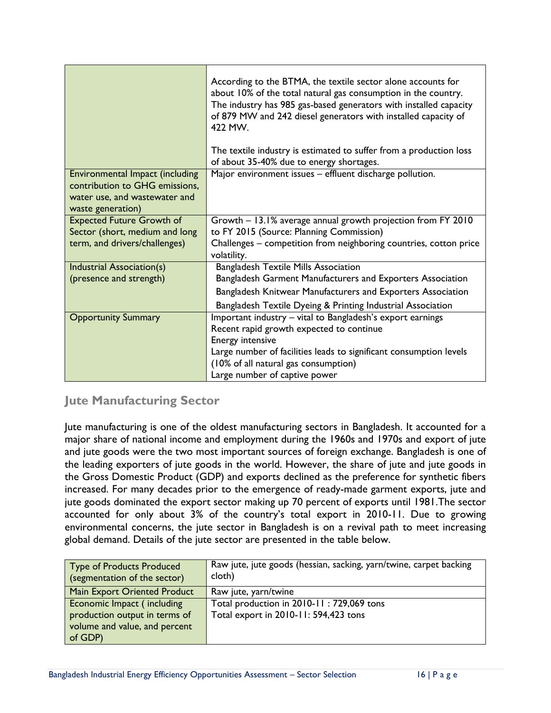|                                                                                                                         | According to the BTMA, the textile sector alone accounts for<br>about 10% of the total natural gas consumption in the country.<br>The industry has 985 gas-based generators with installed capacity<br>of 879 MW and 242 diesel generators with installed capacity of<br>422 MW. |
|-------------------------------------------------------------------------------------------------------------------------|----------------------------------------------------------------------------------------------------------------------------------------------------------------------------------------------------------------------------------------------------------------------------------|
|                                                                                                                         | The textile industry is estimated to suffer from a production loss<br>of about 35-40% due to energy shortages.                                                                                                                                                                   |
| Environmental Impact (including<br>contribution to GHG emissions,<br>water use, and wastewater and<br>waste generation) | Major environment issues - effluent discharge pollution.                                                                                                                                                                                                                         |
| <b>Expected Future Growth of</b>                                                                                        | Growth - 13.1% average annual growth projection from FY 2010                                                                                                                                                                                                                     |
| Sector (short, medium and long                                                                                          | to FY 2015 (Source: Planning Commission)                                                                                                                                                                                                                                         |
| term, and drivers/challenges)                                                                                           | Challenges - competition from neighboring countries, cotton price<br>volatility.                                                                                                                                                                                                 |
| Industrial Association(s)                                                                                               | <b>Bangladesh Textile Mills Association</b>                                                                                                                                                                                                                                      |
| (presence and strength)                                                                                                 | Bangladesh Garment Manufacturers and Exporters Association                                                                                                                                                                                                                       |
|                                                                                                                         | Bangladesh Knitwear Manufacturers and Exporters Association                                                                                                                                                                                                                      |
|                                                                                                                         | Bangladesh Textile Dyeing & Printing Industrial Association                                                                                                                                                                                                                      |
| <b>Opportunity Summary</b>                                                                                              | Important industry - vital to Bangladesh's export earnings                                                                                                                                                                                                                       |
|                                                                                                                         | Recent rapid growth expected to continue                                                                                                                                                                                                                                         |
|                                                                                                                         | Energy intensive                                                                                                                                                                                                                                                                 |
|                                                                                                                         | Large number of facilities leads to significant consumption levels                                                                                                                                                                                                               |
|                                                                                                                         | (10% of all natural gas consumption)                                                                                                                                                                                                                                             |
|                                                                                                                         | Large number of captive power                                                                                                                                                                                                                                                    |

#### **Jute Manufacturing Sector**

Jute manufacturing is one of the oldest manufacturing sectors in Bangladesh. It accounted for a major share of national income and employment during the 1960s and 1970s and export of jute and jute goods were the two most important sources of foreign exchange. Bangladesh is one of the leading exporters of jute goods in the world. However, the share of jute and jute goods in the Gross Domestic Product (GDP) and exports declined as the preference for synthetic fibers increased. For many decades prior to the emergence of ready-made garment exports, jute and jute goods dominated the export sector making up 70 percent of exports until 1981.The sector accounted for only about 3% of the country's total export in 2010-11. Due to growing environmental concerns, the jute sector in Bangladesh is on a revival path to meet increasing global demand. Details of the jute sector are presented in the table below.

| <b>Type of Products Produced</b><br>(segmentation of the sector) | Raw jute, jute goods (hessian, sacking, yarn/twine, carpet backing<br>cloth) |
|------------------------------------------------------------------|------------------------------------------------------------------------------|
| <b>Main Export Oriented Product</b>                              | Raw jute, yarn/twine                                                         |
| Economic Impact (including                                       | Total production in 2010-11: 729,069 tons                                    |
| production output in terms of                                    | Total export in 2010-11: 594,423 tons                                        |
| volume and value, and percent<br>of GDP)                         |                                                                              |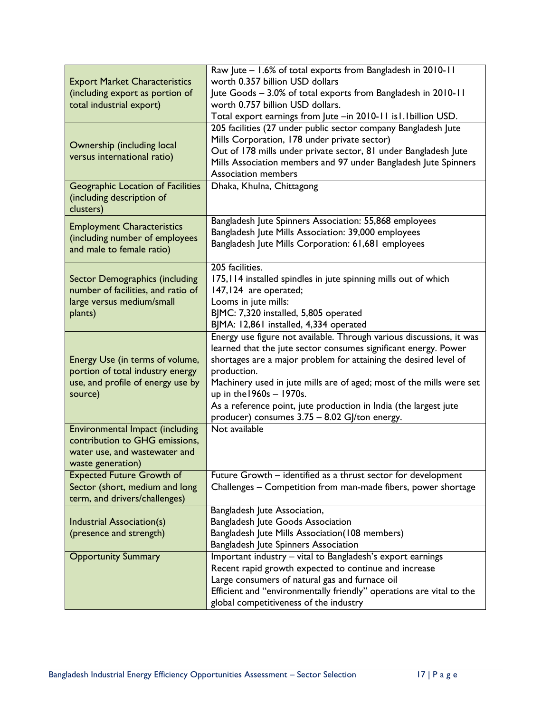| <b>Export Market Characteristics</b><br>(including export as portion of<br>total industrial export)                     | Raw Jute - 1.6% of total exports from Bangladesh in 2010-11<br>worth 0.357 billion USD dollars<br>Jute Goods - 3.0% of total exports from Bangladesh in 2010-11<br>worth 0.757 billion USD dollars.<br>Total export earnings from Jute -in 2010-11 is1.1 billion USD.<br>205 facilities (27 under public sector company Bangladesh Jute                                                                                                             |
|-------------------------------------------------------------------------------------------------------------------------|-----------------------------------------------------------------------------------------------------------------------------------------------------------------------------------------------------------------------------------------------------------------------------------------------------------------------------------------------------------------------------------------------------------------------------------------------------|
| Ownership (including local<br>versus international ratio)                                                               | Mills Corporation, 178 under private sector)<br>Out of 178 mills under private sector, 81 under Bangladesh Jute<br>Mills Association members and 97 under Bangladesh Jute Spinners<br><b>Association members</b>                                                                                                                                                                                                                                    |
| Geographic Location of Facilities<br>(including description of<br>clusters)                                             | Dhaka, Khulna, Chittagong                                                                                                                                                                                                                                                                                                                                                                                                                           |
| <b>Employment Characteristics</b><br>(including number of employees<br>and male to female ratio)                        | Bangladesh Jute Spinners Association: 55,868 employees<br>Bangladesh Jute Mills Association: 39,000 employees<br>Bangladesh Jute Mills Corporation: 61,681 employees                                                                                                                                                                                                                                                                                |
| Sector Demographics (including<br>number of facilities, and ratio of<br>large versus medium/small<br>plants)            | 205 facilities.<br>175, 114 installed spindles in jute spinning mills out of which<br>147,124 are operated;<br>Looms in jute mills:<br>BJMC: 7,320 installed, 5,805 operated<br>BJMA: 12,861 installed, 4,334 operated                                                                                                                                                                                                                              |
| Energy Use (in terms of volume,<br>portion of total industry energy<br>use, and profile of energy use by<br>source)     | Energy use figure not available. Through various discussions, it was<br>learned that the jute sector consumes significant energy. Power<br>shortages are a major problem for attaining the desired level of<br>production.<br>Machinery used in jute mills are of aged; most of the mills were set<br>up in the 1960s - 1970s.<br>As a reference point, jute production in India (the largest jute<br>producer) consumes 3.75 - 8.02 GJ/ton energy. |
| Environmental Impact (including<br>contribution to GHG emissions,<br>water use, and wastewater and<br>waste generation) | Not available                                                                                                                                                                                                                                                                                                                                                                                                                                       |
| <b>Expected Future Growth of</b><br>Sector (short, medium and long<br>term, and drivers/challenges)                     | Future Growth - identified as a thrust sector for development<br>Challenges - Competition from man-made fibers, power shortage                                                                                                                                                                                                                                                                                                                      |
| Industrial Association(s)<br>(presence and strength)                                                                    | Bangladesh Jute Association,<br><b>Bangladesh Jute Goods Association</b><br>Bangladesh Jute Mills Association(108 members)<br>Bangladesh Jute Spinners Association                                                                                                                                                                                                                                                                                  |
| <b>Opportunity Summary</b>                                                                                              | Important industry - vital to Bangladesh's export earnings<br>Recent rapid growth expected to continue and increase<br>Large consumers of natural gas and furnace oil<br>Efficient and "environmentally friendly" operations are vital to the<br>global competitiveness of the industry                                                                                                                                                             |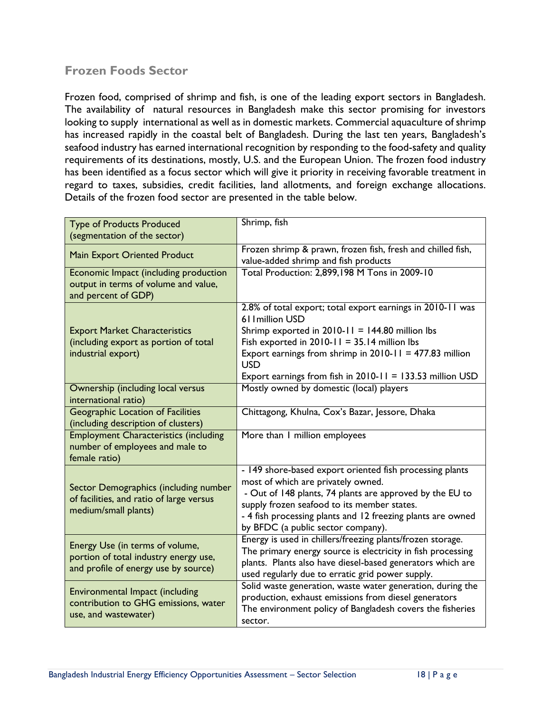### <span id="page-20-0"></span>**Frozen Foods Sector**

Frozen food, comprised of shrimp and fish, is one of the leading export sectors in Bangladesh. The availability of natural resources in Bangladesh make this sector promising for investors looking to supply international as well as in domestic markets. Commercial aquaculture of shrimp has increased rapidly in the coastal belt of Bangladesh. During the last ten years, Bangladesh's seafood industry has earned international recognition by responding to the food-safety and quality requirements of its destinations, mostly, U.S. and the European Union. The frozen food industry has been identified as a focus sector which will give it priority in receiving favorable treatment in regard to taxes, subsidies, credit facilities, land allotments, and foreign exchange allocations. Details of the frozen food sector are presented in the table below.

| <b>Type of Products Produced</b><br>(segmentation of the sector)                                                 | Shrimp, fish                                                                                                                                                                                                                                                                                                                   |  |  |  |  |
|------------------------------------------------------------------------------------------------------------------|--------------------------------------------------------------------------------------------------------------------------------------------------------------------------------------------------------------------------------------------------------------------------------------------------------------------------------|--|--|--|--|
| Main Export Oriented Product                                                                                     | Frozen shrimp & prawn, frozen fish, fresh and chilled fish,<br>value-added shrimp and fish products                                                                                                                                                                                                                            |  |  |  |  |
| Economic Impact (including production<br>output in terms of volume and value,<br>and percent of GDP)             | Total Production: 2,899,198 M Tons in 2009-10                                                                                                                                                                                                                                                                                  |  |  |  |  |
| <b>Export Market Characteristics</b><br>(including export as portion of total<br>industrial export)              | 2.8% of total export; total export earnings in 2010-11 was<br>611 million USD<br>Shrimp exported in $2010-11 = 144.80$ million lbs<br>Fish exported in $2010-11 = 35.14$ million lbs<br>Export earnings from shrimp in $2010-11 = 477.83$ million<br><b>USD</b><br>Export earnings from fish in $2010-11 = 133.53$ million USD |  |  |  |  |
| Ownership (including local versus<br>international ratio)                                                        | Mostly owned by domestic (local) players                                                                                                                                                                                                                                                                                       |  |  |  |  |
| <b>Geographic Location of Facilities</b><br>(including description of clusters)                                  | Chittagong, Khulna, Cox's Bazar, Jessore, Dhaka                                                                                                                                                                                                                                                                                |  |  |  |  |
| <b>Employment Characteristics (including</b><br>number of employees and male to<br>female ratio)                 | More than I million employees                                                                                                                                                                                                                                                                                                  |  |  |  |  |
| Sector Demographics (including number<br>of facilities, and ratio of large versus<br>medium/small plants)        | - 149 shore-based export oriented fish processing plants<br>most of which are privately owned.<br>- Out of 148 plants, 74 plants are approved by the EU to<br>supply frozen seafood to its member states.<br>- 4 fish processing plants and 12 freezing plants are owned<br>by BFDC (a public sector company).                 |  |  |  |  |
| Energy Use (in terms of volume,<br>portion of total industry energy use,<br>and profile of energy use by source) | Energy is used in chillers/freezing plants/frozen storage.<br>The primary energy source is electricity in fish processing<br>plants. Plants also have diesel-based generators which are<br>used regularly due to erratic grid power supply.                                                                                    |  |  |  |  |
| Environmental Impact (including<br>contribution to GHG emissions, water<br>use, and wastewater)                  | Solid waste generation, waste water generation, during the<br>production, exhaust emissions from diesel generators<br>The environment policy of Bangladesh covers the fisheries<br>sector.                                                                                                                                     |  |  |  |  |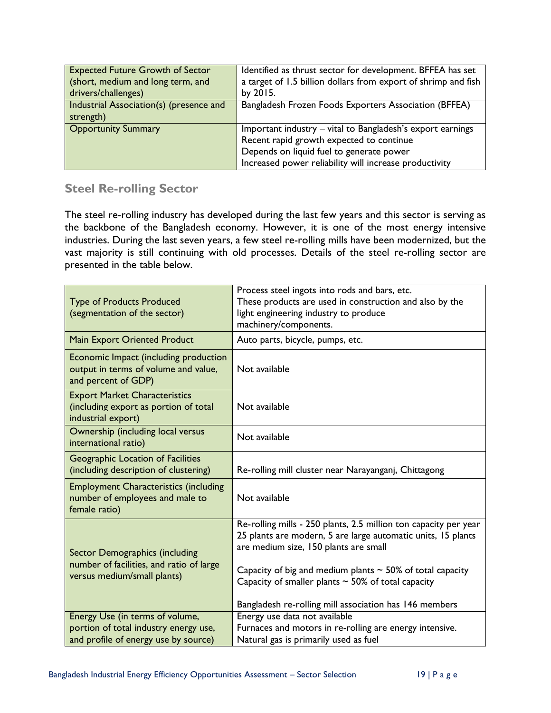| <b>Expected Future Growth of Sector</b> | Identified as thrust sector for development. BFFEA has set     |  |  |  |
|-----------------------------------------|----------------------------------------------------------------|--|--|--|
| (short, medium and long term, and       | a target of 1.5 billion dollars from export of shrimp and fish |  |  |  |
| drivers/challenges)                     | by 2015.                                                       |  |  |  |
| Industrial Association(s) (presence and | Bangladesh Frozen Foods Exporters Association (BFFEA)          |  |  |  |
| strength)                               |                                                                |  |  |  |
| <b>Opportunity Summary</b>              | Important industry - vital to Bangladesh's export earnings     |  |  |  |
|                                         | Recent rapid growth expected to continue                       |  |  |  |
|                                         | Depends on liquid fuel to generate power                       |  |  |  |
|                                         | Increased power reliability will increase productivity         |  |  |  |

#### <span id="page-21-0"></span>**Steel Re-rolling Sector**

The steel re-rolling industry has developed during the last few years and this sector is serving as the backbone of the Bangladesh economy. However, it is one of the most energy intensive industries. During the last seven years, a few steel re-rolling mills have been modernized, but the vast majority is still continuing with old processes. Details of the steel re-rolling sector are presented in the table below.

| <b>Type of Products Produced</b><br>(segmentation of the sector)                                          | Process steel ingots into rods and bars, etc.<br>These products are used in construction and also by the<br>light engineering industry to produce<br>machinery/components.                                                                  |  |  |  |
|-----------------------------------------------------------------------------------------------------------|---------------------------------------------------------------------------------------------------------------------------------------------------------------------------------------------------------------------------------------------|--|--|--|
| <b>Main Export Oriented Product</b>                                                                       | Auto parts, bicycle, pumps, etc.                                                                                                                                                                                                            |  |  |  |
| Economic Impact (including production<br>output in terms of volume and value,<br>and percent of GDP)      | Not available                                                                                                                                                                                                                               |  |  |  |
| <b>Export Market Characteristics</b><br>(including export as portion of total<br>industrial export)       | Not available                                                                                                                                                                                                                               |  |  |  |
| Ownership (including local versus<br>international ratio)                                                 | Not available                                                                                                                                                                                                                               |  |  |  |
| Geographic Location of Facilities<br>(including description of clustering)                                | Re-rolling mill cluster near Narayanganj, Chittagong                                                                                                                                                                                        |  |  |  |
| <b>Employment Characteristics (including</b><br>number of employees and male to<br>female ratio)          | Not available                                                                                                                                                                                                                               |  |  |  |
| Sector Demographics (including<br>number of facilities, and ratio of large<br>versus medium/small plants) | Re-rolling mills - 250 plants, 2.5 million ton capacity per year<br>25 plants are modern, 5 are large automatic units, 15 plants<br>are medium size, 150 plants are small<br>Capacity of big and medium plants $\sim$ 50% of total capacity |  |  |  |
|                                                                                                           | Capacity of smaller plants $\sim$ 50% of total capacity<br>Bangladesh re-rolling mill association has 146 members                                                                                                                           |  |  |  |
| Energy Use (in terms of volume,                                                                           | Energy use data not available                                                                                                                                                                                                               |  |  |  |
| portion of total industry energy use,                                                                     | Furnaces and motors in re-rolling are energy intensive.                                                                                                                                                                                     |  |  |  |
| and profile of energy use by source)                                                                      | Natural gas is primarily used as fuel                                                                                                                                                                                                       |  |  |  |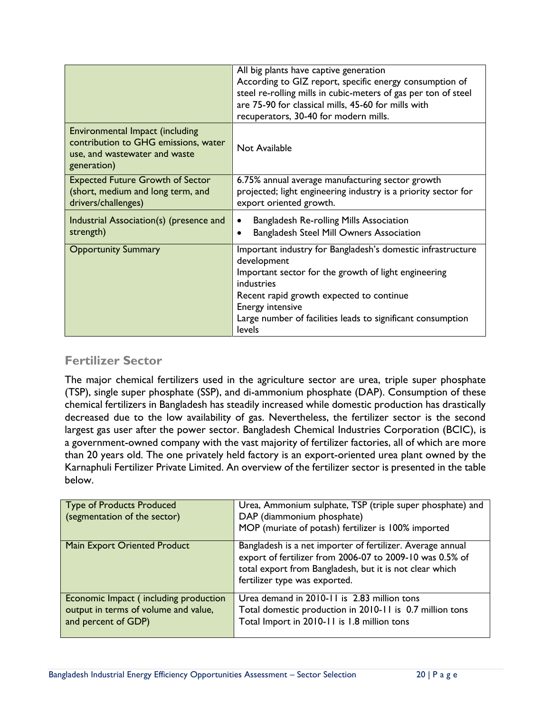|                                                                                                                         | All big plants have captive generation<br>According to GIZ report, specific energy consumption of<br>steel re-rolling mills in cubic-meters of gas per ton of steel<br>are 75-90 for classical mills, 45-60 for mills with<br>recuperators, 30-40 for modern mills.                              |  |  |  |  |
|-------------------------------------------------------------------------------------------------------------------------|--------------------------------------------------------------------------------------------------------------------------------------------------------------------------------------------------------------------------------------------------------------------------------------------------|--|--|--|--|
| Environmental Impact (including<br>contribution to GHG emissions, water<br>use, and wastewater and waste<br>generation) | Not Available                                                                                                                                                                                                                                                                                    |  |  |  |  |
| <b>Expected Future Growth of Sector</b><br>(short, medium and long term, and<br>drivers/challenges)                     | 6.75% annual average manufacturing sector growth<br>projected; light engineering industry is a priority sector for<br>export oriented growth.                                                                                                                                                    |  |  |  |  |
| Industrial Association(s) (presence and<br>strength)                                                                    | <b>Bangladesh Re-rolling Mills Association</b><br>Bangladesh Steel Mill Owners Association                                                                                                                                                                                                       |  |  |  |  |
| <b>Opportunity Summary</b>                                                                                              | Important industry for Bangladesh's domestic infrastructure<br>development<br>Important sector for the growth of light engineering<br>industries<br>Recent rapid growth expected to continue<br><b>Energy intensive</b><br>Large number of facilities leads to significant consumption<br>levels |  |  |  |  |

#### <span id="page-22-0"></span>**Fertilizer Sector**

The major chemical fertilizers used in the agriculture sector are urea, triple super phosphate (TSP), single super phosphate (SSP), and di-ammonium phosphate (DAP). Consumption of these chemical fertilizers in Bangladesh has steadily increased while domestic production has drastically decreased due to the low availability of gas. Nevertheless, the fertilizer sector is the second largest gas user after the power sector. Bangladesh Chemical Industries Corporation (BCIC), is a government-owned company with the vast majority of fertilizer factories, all of which are more than 20 years old. The one privately held factory is an export-oriented urea plant owned by the Karnaphuli Fertilizer Private Limited. An overview of the fertilizer sector is presented in the table below.

| Type of Products Produced<br>(segmentation of the sector)                                            | Urea, Ammonium sulphate, TSP (triple super phosphate) and<br>DAP (diammonium phosphate)<br>MOP (muriate of potash) fertilizer is 100% imported                                                                     |
|------------------------------------------------------------------------------------------------------|--------------------------------------------------------------------------------------------------------------------------------------------------------------------------------------------------------------------|
| <b>Main Export Oriented Product</b>                                                                  | Bangladesh is a net importer of fertilizer. Average annual<br>export of fertilizer from 2006-07 to 2009-10 was 0.5% of<br>total export from Bangladesh, but it is not clear which<br>fertilizer type was exported. |
| Economic Impact (including production<br>output in terms of volume and value,<br>and percent of GDP) | Urea demand in 2010-11 is 2.83 million tons<br>Total domestic production in 2010-11 is 0.7 million tons<br>Total Import in 2010-11 is 1.8 million tons                                                             |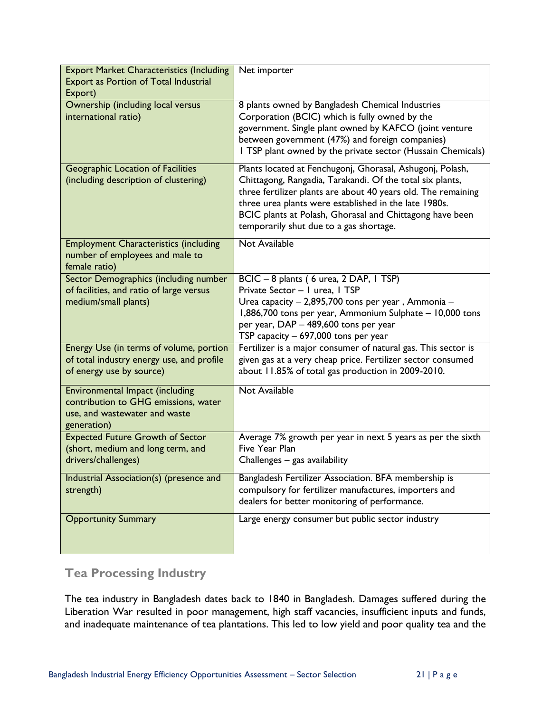| <b>Export Market Characteristics (Including</b><br><b>Export as Portion of Total Industrial</b><br>Export)                     | Net importer                                                                                                                                                                                                                                                                                                                                            |
|--------------------------------------------------------------------------------------------------------------------------------|---------------------------------------------------------------------------------------------------------------------------------------------------------------------------------------------------------------------------------------------------------------------------------------------------------------------------------------------------------|
| Ownership (including local versus<br>international ratio)                                                                      | 8 plants owned by Bangladesh Chemical Industries<br>Corporation (BCIC) which is fully owned by the<br>government. Single plant owned by KAFCO (joint venture<br>between government (47%) and foreign companies)<br>I TSP plant owned by the private sector (Hussain Chemicals)                                                                          |
| Geographic Location of Facilities<br>(including description of clustering)                                                     | Plants located at Fenchugonj, Ghorasal, Ashugonj, Polash,<br>Chittagong, Rangadia, Tarakandi. Of the total six plants,<br>three fertilizer plants are about 40 years old. The remaining<br>three urea plants were established in the late 1980s.<br>BCIC plants at Polash, Ghorasal and Chittagong have been<br>temporarily shut due to a gas shortage. |
| <b>Employment Characteristics (including</b><br>number of employees and male to<br>female ratio)                               | <b>Not Available</b>                                                                                                                                                                                                                                                                                                                                    |
| Sector Demographics (including number<br>of facilities, and ratio of large versus<br>medium/small plants)                      | BCIC - 8 plants (6 urea, 2 DAP, 1 TSP)<br>Private Sector - I urea, I TSP<br>Urea capacity - 2,895,700 tons per year, Ammonia -<br>1,886,700 tons per year, Ammonium Sulphate - 10,000 tons<br>per year, DAP - 489,600 tons per year<br>TSP capacity - 697,000 tons per year                                                                             |
| Energy Use (in terms of volume, portion<br>of total industry energy use, and profile<br>of energy use by source)               | Fertilizer is a major consumer of natural gas. This sector is<br>given gas at a very cheap price. Fertilizer sector consumed<br>about 11.85% of total gas production in 2009-2010.                                                                                                                                                                      |
| <b>Environmental Impact (including</b><br>contribution to GHG emissions, water<br>use, and wastewater and waste<br>generation) | Not Available                                                                                                                                                                                                                                                                                                                                           |
| <b>Expected Future Growth of Sector</b><br>(short, medium and long term, and<br>drivers/challenges)                            | Average 7% growth per year in next 5 years as per the sixth<br>Five Year Plan<br>Challenges - gas availability                                                                                                                                                                                                                                          |
| Industrial Association(s) (presence and<br>strength)                                                                           | Bangladesh Fertilizer Association. BFA membership is<br>compulsory for fertilizer manufactures, importers and<br>dealers for better monitoring of performance.                                                                                                                                                                                          |
| <b>Opportunity Summary</b>                                                                                                     | Large energy consumer but public sector industry                                                                                                                                                                                                                                                                                                        |

#### <span id="page-23-0"></span>**Tea Processing Industry**

The tea industry in Bangladesh dates back to 1840 in Bangladesh. Damages suffered during the Liberation War resulted in poor management, high staff vacancies, insufficient inputs and funds, and inadequate maintenance of tea plantations. This led to low yield and poor quality tea and the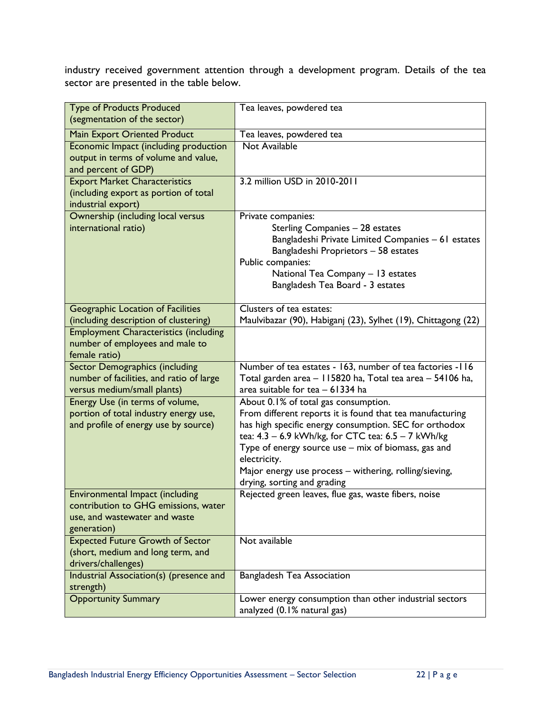industry received government attention through a development program. Details of the tea sector are presented in the table below.

| <b>Type of Products Produced</b>                                              | Tea leaves, powdered tea                                                                                     |  |  |  |
|-------------------------------------------------------------------------------|--------------------------------------------------------------------------------------------------------------|--|--|--|
| (segmentation of the sector)                                                  |                                                                                                              |  |  |  |
| <b>Main Export Oriented Product</b>                                           | Tea leaves, powdered tea                                                                                     |  |  |  |
| Economic Impact (including production                                         | Not Available                                                                                                |  |  |  |
| output in terms of volume and value,                                          |                                                                                                              |  |  |  |
| and percent of GDP)                                                           |                                                                                                              |  |  |  |
| <b>Export Market Characteristics</b><br>(including export as portion of total | 3.2 million USD in 2010-2011                                                                                 |  |  |  |
| industrial export)                                                            |                                                                                                              |  |  |  |
| Ownership (including local versus                                             | Private companies:                                                                                           |  |  |  |
| international ratio)                                                          | Sterling Companies - 28 estates                                                                              |  |  |  |
|                                                                               | Bangladeshi Private Limited Companies - 61 estates                                                           |  |  |  |
|                                                                               | Bangladeshi Proprietors - 58 estates                                                                         |  |  |  |
|                                                                               | Public companies:                                                                                            |  |  |  |
|                                                                               | National Tea Company - 13 estates                                                                            |  |  |  |
|                                                                               | Bangladesh Tea Board - 3 estates                                                                             |  |  |  |
| Geographic Location of Facilities                                             | Clusters of tea estates:                                                                                     |  |  |  |
| (including description of clustering)                                         | Maulvibazar (90), Habiganj (23), Sylhet (19), Chittagong (22)                                                |  |  |  |
| <b>Employment Characteristics (including</b>                                  |                                                                                                              |  |  |  |
| number of employees and male to                                               |                                                                                                              |  |  |  |
| female ratio)                                                                 |                                                                                                              |  |  |  |
| <b>Sector Demographics (including</b>                                         | Number of tea estates - 163, number of tea factories -116                                                    |  |  |  |
| number of facilities, and ratio of large                                      | Total garden area - 115820 ha, Total tea area - 54106 ha,                                                    |  |  |  |
| versus medium/small plants)                                                   | area suitable for tea - 61334 ha                                                                             |  |  |  |
| Energy Use (in terms of volume,                                               | About 0.1% of total gas consumption.                                                                         |  |  |  |
| portion of total industry energy use,                                         | From different reports it is found that tea manufacturing                                                    |  |  |  |
| and profile of energy use by source)                                          | has high specific energy consumption. SEC for orthodox<br>tea: 4.3 - 6.9 kWh/kg, for CTC tea: 6.5 - 7 kWh/kg |  |  |  |
|                                                                               | Type of energy source use - mix of biomass, gas and                                                          |  |  |  |
|                                                                               | electricity.                                                                                                 |  |  |  |
|                                                                               | Major energy use process - withering, rolling/sieving,                                                       |  |  |  |
|                                                                               | drying, sorting and grading                                                                                  |  |  |  |
| <b>Environmental Impact (including</b>                                        | Rejected green leaves, flue gas, waste fibers, noise                                                         |  |  |  |
| contribution to GHG emissions, water                                          |                                                                                                              |  |  |  |
| use, and wastewater and waste                                                 |                                                                                                              |  |  |  |
| generation)<br><b>Expected Future Growth of Sector</b>                        | Not available                                                                                                |  |  |  |
| (short, medium and long term, and                                             |                                                                                                              |  |  |  |
| drivers/challenges)                                                           |                                                                                                              |  |  |  |
| Industrial Association(s) (presence and                                       | <b>Bangladesh Tea Association</b>                                                                            |  |  |  |
| strength)                                                                     |                                                                                                              |  |  |  |
| <b>Opportunity Summary</b>                                                    | Lower energy consumption than other industrial sectors                                                       |  |  |  |
|                                                                               | analyzed (0.1% natural gas)                                                                                  |  |  |  |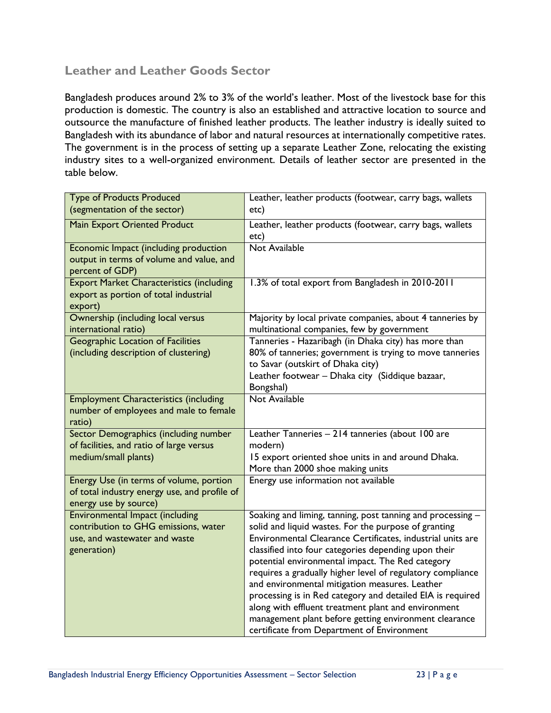### <span id="page-25-0"></span>**Leather and Leather Goods Sector**

Bangladesh produces around 2% to 3% of the world's leather. Most of the livestock base for this production is domestic. The country is also an established and attractive location to source and outsource the manufacture of finished leather products. The leather industry is ideally suited to Bangladesh with its abundance of labor and natural resources at internationally competitive rates. The government is in the process of setting up a separate Leather Zone, relocating the existing industry sites to a well-organized environment. Details of leather sector are presented in the table below.

| <b>Type of Products Produced</b><br>(segmentation of the sector)                                                               | Leather, leather products (footwear, carry bags, wallets<br>etc)                                                                                                                                                                                                                                                                                                                                                                                                                                                                                                                                                                         |  |  |  |  |
|--------------------------------------------------------------------------------------------------------------------------------|------------------------------------------------------------------------------------------------------------------------------------------------------------------------------------------------------------------------------------------------------------------------------------------------------------------------------------------------------------------------------------------------------------------------------------------------------------------------------------------------------------------------------------------------------------------------------------------------------------------------------------------|--|--|--|--|
| <b>Main Export Oriented Product</b>                                                                                            | Leather, leather products (footwear, carry bags, wallets<br>etc)                                                                                                                                                                                                                                                                                                                                                                                                                                                                                                                                                                         |  |  |  |  |
| Economic Impact (including production<br>output in terms of volume and value, and<br>percent of GDP)                           | <b>Not Available</b>                                                                                                                                                                                                                                                                                                                                                                                                                                                                                                                                                                                                                     |  |  |  |  |
| <b>Export Market Characteristics (including</b><br>export as portion of total industrial<br>export)                            | 1.3% of total export from Bangladesh in 2010-2011                                                                                                                                                                                                                                                                                                                                                                                                                                                                                                                                                                                        |  |  |  |  |
| Ownership (including local versus<br>international ratio)                                                                      | Majority by local private companies, about 4 tanneries by<br>multinational companies, few by government                                                                                                                                                                                                                                                                                                                                                                                                                                                                                                                                  |  |  |  |  |
| <b>Geographic Location of Facilities</b><br>(including description of clustering)                                              | Tanneries - Hazaribagh (in Dhaka city) has more than<br>80% of tanneries; government is trying to move tanneries<br>to Savar (outskirt of Dhaka city)<br>Leather footwear - Dhaka city (Siddique bazaar,<br>Bongshal)                                                                                                                                                                                                                                                                                                                                                                                                                    |  |  |  |  |
| <b>Employment Characteristics (including</b><br>number of employees and male to female<br>ratio)                               | Not Available                                                                                                                                                                                                                                                                                                                                                                                                                                                                                                                                                                                                                            |  |  |  |  |
| Sector Demographics (including number<br>of facilities, and ratio of large versus<br>medium/small plants)                      | Leather Tanneries - 214 tanneries (about 100 are<br>modern)<br>15 export oriented shoe units in and around Dhaka.<br>More than 2000 shoe making units                                                                                                                                                                                                                                                                                                                                                                                                                                                                                    |  |  |  |  |
| Energy Use (in terms of volume, portion<br>of total industry energy use, and profile of<br>energy use by source)               | Energy use information not available                                                                                                                                                                                                                                                                                                                                                                                                                                                                                                                                                                                                     |  |  |  |  |
| <b>Environmental Impact (including</b><br>contribution to GHG emissions, water<br>use, and wastewater and waste<br>generation) | Soaking and liming, tanning, post tanning and processing -<br>solid and liquid wastes. For the purpose of granting<br>Environmental Clearance Certificates, industrial units are<br>classified into four categories depending upon their<br>potential environmental impact. The Red category<br>requires a gradually higher level of regulatory compliance<br>and environmental mitigation measures. Leather<br>processing is in Red category and detailed EIA is required<br>along with effluent treatment plant and environment<br>management plant before getting environment clearance<br>certificate from Department of Environment |  |  |  |  |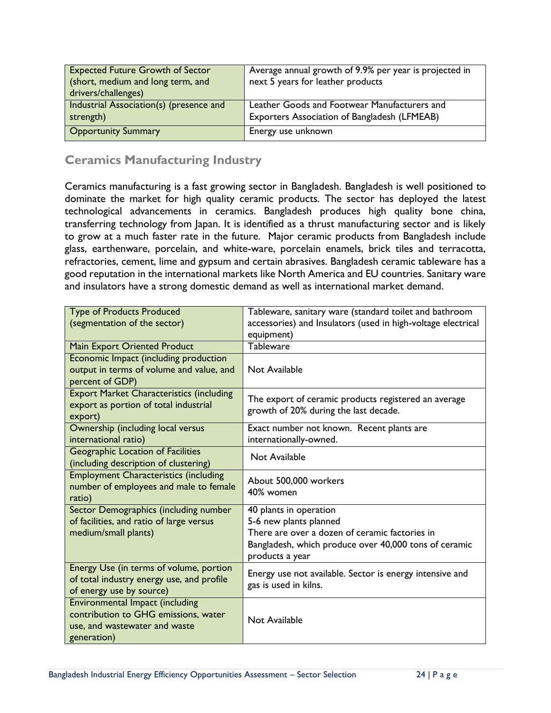| <b>Expected Future Growth of Sector</b><br>(short, medium and long term, and<br>drivers/challenges) | Average annual growth of 9.9% per year is projected in<br>next 5 years for leather products  |  |  |  |  |
|-----------------------------------------------------------------------------------------------------|----------------------------------------------------------------------------------------------|--|--|--|--|
| Industrial Association(s) (presence and<br>strength)                                                | Leather Goods and Footwear Manufacturers and<br>Exporters Association of Bangladesh (LFMEAB) |  |  |  |  |
| <b>Opportunity Summary</b>                                                                          | Energy use unknown                                                                           |  |  |  |  |

### <span id="page-26-0"></span>**Ceramics Manufacturing Industry**

Ceramics manufacturing is a fast growing sector in Bangladesh. Bangladesh is well positioned to dominate the market for high quality ceramic products. The sector has deployed the latest technological advancements in ceramics. Bangladesh produces high quality bone china, transferring technology from Japan. It is identified as a thrust manufacturing sector and is likely to grow at a much faster rate in the future. Major ceramic products from Bangladesh include glass, earthenware, porcelain, and white-ware, porcelain enamels, brick tiles and terracotta, refractories, cement, lime and gypsum and certain abrasives. Bangladesh ceramic tableware has a good reputation in the international markets like North America and EU countries. Sanitary ware and insulators have a strong domestic demand as well as international market demand.

| <b>Type of Products Produced</b>                | Tableware, sanitary ware (standard toilet and bathroom       |  |  |  |  |
|-------------------------------------------------|--------------------------------------------------------------|--|--|--|--|
| (segmentation of the sector)                    | accessories) and Insulators (used in high-voltage electrical |  |  |  |  |
|                                                 | equipment)                                                   |  |  |  |  |
| Main Export Oriented Product                    | Tableware                                                    |  |  |  |  |
| Economic Impact (including production           |                                                              |  |  |  |  |
| output in terms of volume and value, and        | Not Available                                                |  |  |  |  |
| percent of GDP)                                 |                                                              |  |  |  |  |
| <b>Export Market Characteristics (including</b> | The export of ceramic products registered an average         |  |  |  |  |
| export as portion of total industrial           | growth of 20% during the last decade.                        |  |  |  |  |
| export)                                         |                                                              |  |  |  |  |
| Ownership (including local versus               | Exact number not known. Recent plants are                    |  |  |  |  |
| international ratio)                            | internationally-owned.                                       |  |  |  |  |
| <b>Geographic Location of Facilities</b>        | Not Available                                                |  |  |  |  |
| (including description of clustering)           |                                                              |  |  |  |  |
| <b>Employment Characteristics (including</b>    | About 500,000 workers                                        |  |  |  |  |
| number of employees and male to female          | 40% women                                                    |  |  |  |  |
| ratio)                                          |                                                              |  |  |  |  |
| Sector Demographics (including number           | 40 plants in operation                                       |  |  |  |  |
| of facilities, and ratio of large versus        | 5-6 new plants planned                                       |  |  |  |  |
| medium/small plants)                            | There are over a dozen of ceramic factories in               |  |  |  |  |
|                                                 | Bangladesh, which produce over 40,000 tons of ceramic        |  |  |  |  |
|                                                 | products a year                                              |  |  |  |  |
| Energy Use (in terms of volume, portion         | Energy use not available. Sector is energy intensive and     |  |  |  |  |
| of total industry energy use, and profile       | gas is used in kilns.                                        |  |  |  |  |
| of energy use by source)                        |                                                              |  |  |  |  |
| Environmental Impact (including                 |                                                              |  |  |  |  |
| contribution to GHG emissions, water            | Not Available                                                |  |  |  |  |
| use, and wastewater and waste                   |                                                              |  |  |  |  |
| generation)                                     |                                                              |  |  |  |  |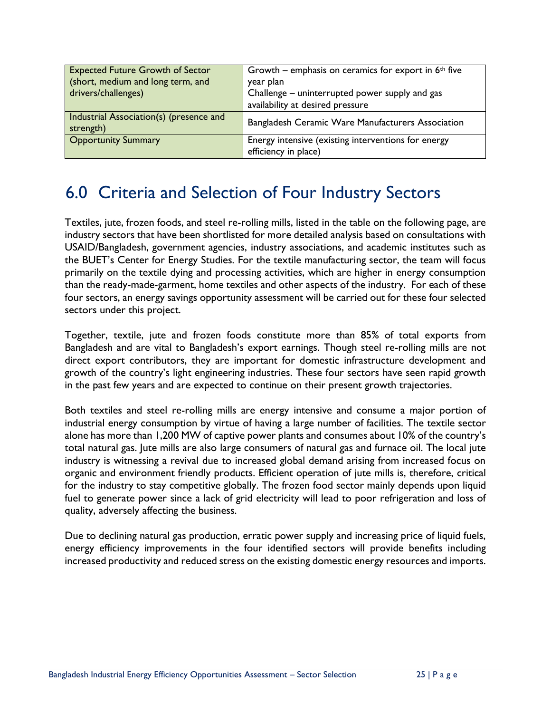| <b>Expected Future Growth of Sector</b><br>(short, medium and long term, and<br>drivers/challenges) | Growth – emphasis on ceramics for export in $6th$ five<br>year plan<br>Challenge – uninterrupted power supply and gas<br>availability at desired pressure |  |
|-----------------------------------------------------------------------------------------------------|-----------------------------------------------------------------------------------------------------------------------------------------------------------|--|
| Industrial Association(s) (presence and<br>strength)                                                | Bangladesh Ceramic Ware Manufacturers Association                                                                                                         |  |
| <b>Opportunity Summary</b>                                                                          | Energy intensive (existing interventions for energy<br>efficiency in place)                                                                               |  |

## <span id="page-27-0"></span>6.0 Criteria and Selection of Four Industry Sectors

Textiles, jute, frozen foods, and steel re-rolling mills, listed in the table on the following page, are industry sectors that have been shortlisted for more detailed analysis based on consultations with USAID/Bangladesh, government agencies, industry associations, and academic institutes such as the BUET's Center for Energy Studies. For the textile manufacturing sector, the team will focus primarily on the textile dying and processing activities, which are higher in energy consumption than the ready-made-garment, home textiles and other aspects of the industry. For each of these four sectors, an energy savings opportunity assessment will be carried out for these four selected sectors under this project.

Together, textile, jute and frozen foods constitute more than 85% of total exports from Bangladesh and are vital to Bangladesh's export earnings. Though steel re-rolling mills are not direct export contributors, they are important for domestic infrastructure development and growth of the country's light engineering industries. These four sectors have seen rapid growth in the past few years and are expected to continue on their present growth trajectories.

Both textiles and steel re-rolling mills are energy intensive and consume a major portion of industrial energy consumption by virtue of having a large number of facilities. The textile sector alone has more than 1,200 MW of captive power plants and consumes about 10% of the country's total natural gas. Jute mills are also large consumers of natural gas and furnace oil. The local jute industry is witnessing a revival due to increased global demand arising from increased focus on organic and environment friendly products. Efficient operation of jute mills is, therefore, critical for the industry to stay competitive globally. The frozen food sector mainly depends upon liquid fuel to generate power since a lack of grid electricity will lead to poor refrigeration and loss of quality, adversely affecting the business.

Due to declining natural gas production, erratic power supply and increasing price of liquid fuels, energy efficiency improvements in the four identified sectors will provide benefits including increased productivity and reduced stress on the existing domestic energy resources and imports.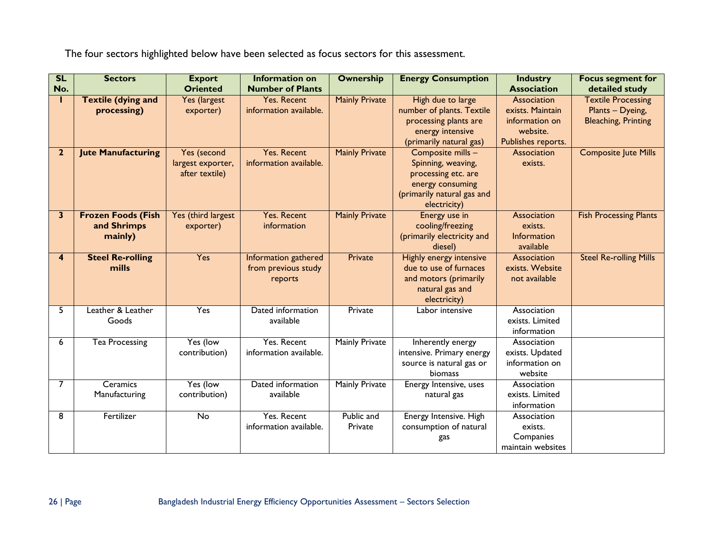The four sectors highlighted below have been selected as focus sectors for this assessment.

| SL                      | <b>Sectors</b>                                      | <b>Export</b>                                      | <b>Information on</b>                                  | <b>Ownership</b>      | <b>Energy Consumption</b>                                                                                                        | <b>Industry</b>                                                                     | <b>Focus segment for</b>                                                    |
|-------------------------|-----------------------------------------------------|----------------------------------------------------|--------------------------------------------------------|-----------------------|----------------------------------------------------------------------------------------------------------------------------------|-------------------------------------------------------------------------------------|-----------------------------------------------------------------------------|
| No.                     |                                                     | <b>Oriented</b>                                    | <b>Number of Plants</b>                                |                       |                                                                                                                                  | <b>Association</b>                                                                  | detailed study                                                              |
| т                       | <b>Textile (dying and</b><br>processing)            | Yes (largest<br>exporter)                          | <b>Yes. Recent</b><br>information available.           | <b>Mainly Private</b> | High due to large<br>number of plants. Textile<br>processing plants are<br>energy intensive<br>(primarily natural gas)           | Association<br>exists. Maintain<br>information on<br>website.<br>Publishes reports. | <b>Textile Processing</b><br>Plants - Dyeing,<br><b>Bleaching, Printing</b> |
| $\mathbf{2}$            | <b>Jute Manufacturing</b>                           | Yes (second<br>largest exporter,<br>after textile) | <b>Yes. Recent</b><br>information available.           | <b>Mainly Private</b> | Composite mills -<br>Spinning, weaving,<br>processing etc. are<br>energy consuming<br>(primarily natural gas and<br>electricity) | Association<br>exists.                                                              | <b>Composite Jute Mills</b>                                                 |
| 3                       | <b>Frozen Foods (Fish</b><br>and Shrimps<br>mainly) | Yes (third largest<br>exporter)                    | <b>Yes. Recent</b><br>information                      | <b>Mainly Private</b> | Energy use in<br>cooling/freezing<br>(primarily electricity and<br>diesel)                                                       | Association<br>exists.<br>Information<br>available                                  | <b>Fish Processing Plants</b>                                               |
| $\overline{\mathbf{4}}$ | <b>Steel Re-rolling</b><br>mills                    | <b>Yes</b>                                         | Information gathered<br>from previous study<br>reports | Private               | <b>Highly energy intensive</b><br>due to use of furnaces<br>and motors (primarily<br>natural gas and<br>electricity)             | Association<br>exists. Website<br>not available                                     | <b>Steel Re-rolling Mills</b>                                               |
| 5                       | Leather & Leather<br>Goods                          | Yes                                                | Dated information<br>available                         | Private               | Labor intensive                                                                                                                  | Association<br>exists. Limited<br>information                                       |                                                                             |
| 6                       | Tea Processing                                      | Yes (low<br>contribution)                          | Yes. Recent<br>information available.                  | <b>Mainly Private</b> | Inherently energy<br>intensive. Primary energy<br>source is natural gas or<br>biomass                                            | Association<br>exists. Updated<br>information on<br>website                         |                                                                             |
| 7                       | Ceramics<br>Manufacturing                           | Yes (low<br>contribution)                          | Dated information<br>available                         | <b>Mainly Private</b> | Energy Intensive, uses<br>natural gas                                                                                            | Association<br>exists. Limited<br>information                                       |                                                                             |
| 8                       | Fertilizer                                          | No                                                 | Yes. Recent<br>information available.                  | Public and<br>Private | Energy Intensive. High<br>consumption of natural<br>gas                                                                          | Association<br>exists.<br>Companies<br>maintain websites                            |                                                                             |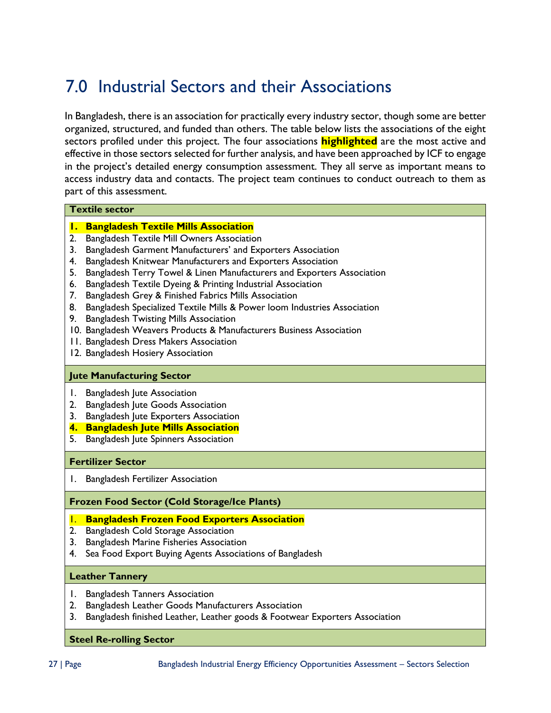# <span id="page-29-0"></span>7.0 Industrial Sectors and their Associations

In Bangladesh, there is an association for practically every industry sector, though some are better organized, structured, and funded than others. The table below lists the associations of the eight sectors profiled under this project. The four associations **highlighted** are the most active and effective in those sectors selected for further analysis, and have been approached by ICF to engage in the project's detailed energy consumption assessment. They all serve as important means to access industry data and contacts. The project team continues to conduct outreach to them as part of this assessment.

#### **Textile sector**

- **1. Bangladesh Textile Mills Association**
- 2. Bangladesh Textile Mill Owners Association
- 3. Bangladesh Garment Manufacturers' and Exporters Association
- 4. Bangladesh Knitwear Manufacturers and Exporters Association
- 5. Bangladesh Terry Towel & Linen Manufacturers and Exporters Association
- 6. Bangladesh Textile Dyeing & Printing Industrial Association
- 7. Bangladesh Grey & Finished Fabrics Mills Association
- 8. Bangladesh Specialized Textile Mills & Power loom Industries Association
- 9. Bangladesh Twisting Mills Association
- 10. Bangladesh Weavers Products & Manufacturers Business Association
- 11. Bangladesh Dress Makers Association
- 12. Bangladesh Hosiery Association

#### **Jute Manufacturing Sector**

- 1. Bangladesh Jute Association
- 2. Bangladesh Jute Goods Association
- 3. Bangladesh Jute Exporters Association
- **4. Bangladesh Jute Mills Association**
- 5. Bangladesh Jute Spinners Association

#### **Fertilizer Sector**

1. Bangladesh Fertilizer Association

#### **Frozen Food Sector (Cold Storage/Ice Plants)**

#### 1. **Bangladesh Frozen Food Exporters Association**

- 2. Bangladesh Cold Storage Association
- 3. Bangladesh Marine Fisheries Association
- 4. Sea Food Export Buying Agents Associations of Bangladesh

#### **Leather Tannery**

- 1. Bangladesh Tanners Association
- 2. Bangladesh Leather Goods Manufacturers Association
- 3. Bangladesh finished Leather, Leather goods & Footwear Exporters Association

#### **Steel Re-rolling Sector**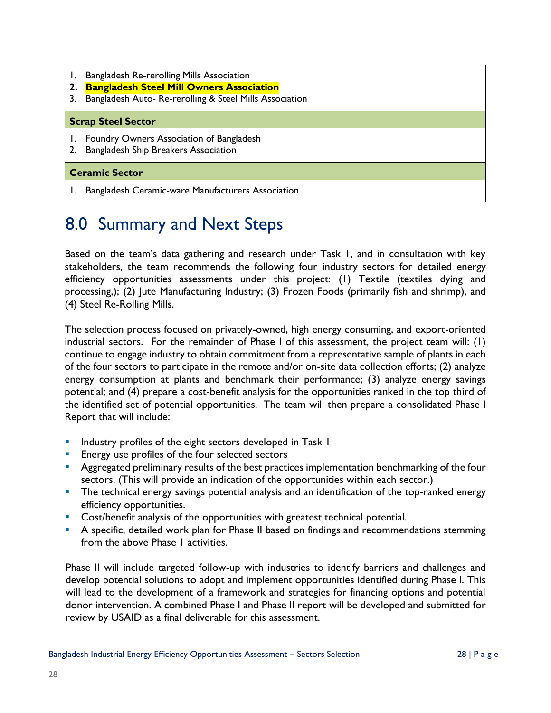- 1. Bangladesh Re-rerolling Mills Association
- **2. Bangladesh Steel Mill Owners Association**
- 3. Bangladesh Auto- Re-rerolling & Steel Mills Association

#### **Scrap Steel Sector**

- 1. Foundry Owners Association of Bangladesh
- 2. Bangladesh Ship Breakers Association

#### **Ceramic Sector**

<span id="page-30-0"></span>1. Bangladesh Ceramic-ware Manufacturers Association

# 8.0 Summary and Next Steps

Based on the team's data gathering and research under Task 1, and in consultation with key stakeholders, the team recommends the following four industry sectors for detailed energy efficiency opportunities assessments under this project: (1) Textile (textiles dying and processing,); (2) Jute Manufacturing Industry; (3) Frozen Foods (primarily fish and shrimp), and (4) Steel Re-Rolling Mills.

The selection process focused on privately-owned, high energy consuming, and export-oriented industrial sectors. For the remainder of Phase I of this assessment, the project team will: (1) continue to engage industry to obtain commitment from a representative sample of plants in each of the four sectors to participate in the remote and/or on-site data collection efforts; (2) analyze energy consumption at plants and benchmark their performance; (3) analyze energy savings potential; and (4) prepare a cost-benefit analysis for the opportunities ranked in the top third of the identified set of potential opportunities. The team will then prepare a consolidated Phase I Report that will include:

- **IF Industry profiles of the eight sectors developed in Task I**
- **Energy use profiles of the four selected sectors**
- **Aggregated preliminary results of the best practices implementation benchmarking of the four** sectors. (This will provide an indication of the opportunities within each sector.)
- **The technical energy savings potential analysis and an identification of the top-ranked energy** efficiency opportunities.
- **Cost/benefit analysis of the opportunities with greatest technical potential.**
- **A** specific, detailed work plan for Phase II based on findings and recommendations stemming from the above Phase 1 activities.

Phase II will include targeted follow-up with industries to identify barriers and challenges and develop potential solutions to adopt and implement opportunities identified during Phase I. This will lead to the development of a framework and strategies for financing options and potential donor intervention. A combined Phase I and Phase II report will be developed and submitted for review by USAID as a final deliverable for this assessment.